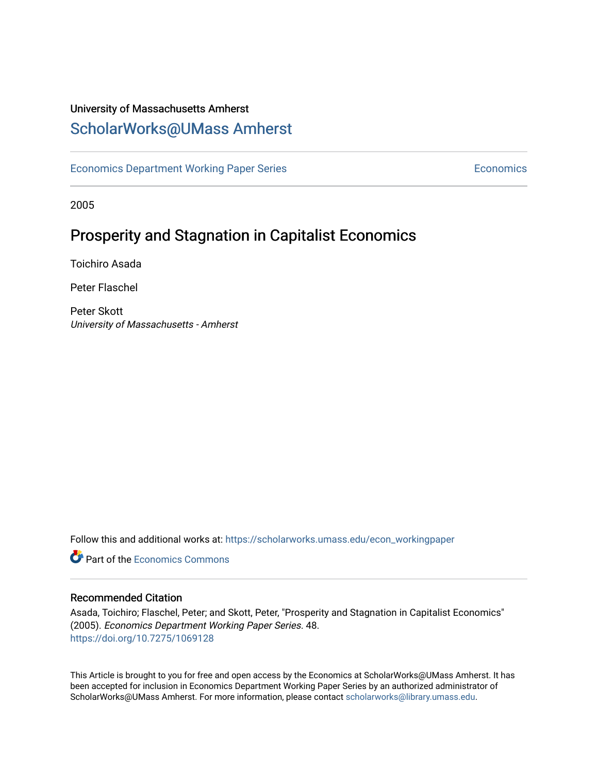## University of Massachusetts Amherst [ScholarWorks@UMass Amherst](https://scholarworks.umass.edu/)

[Economics Department Working Paper Series](https://scholarworks.umass.edu/econ_workingpaper) **Economics** Economics

2005

## Prosperity and Stagnation in Capitalist Economics

Toichiro Asada

Peter Flaschel

Peter Skott University of Massachusetts - Amherst

Follow this and additional works at: [https://scholarworks.umass.edu/econ\\_workingpaper](https://scholarworks.umass.edu/econ_workingpaper?utm_source=scholarworks.umass.edu%2Fecon_workingpaper%2F48&utm_medium=PDF&utm_campaign=PDFCoverPages) 

**C** Part of the [Economics Commons](http://network.bepress.com/hgg/discipline/340?utm_source=scholarworks.umass.edu%2Fecon_workingpaper%2F48&utm_medium=PDF&utm_campaign=PDFCoverPages)

#### Recommended Citation

Asada, Toichiro; Flaschel, Peter; and Skott, Peter, "Prosperity and Stagnation in Capitalist Economics" (2005). Economics Department Working Paper Series. 48. <https://doi.org/10.7275/1069128>

This Article is brought to you for free and open access by the Economics at ScholarWorks@UMass Amherst. It has been accepted for inclusion in Economics Department Working Paper Series by an authorized administrator of ScholarWorks@UMass Amherst. For more information, please contact [scholarworks@library.umass.edu.](mailto:scholarworks@library.umass.edu)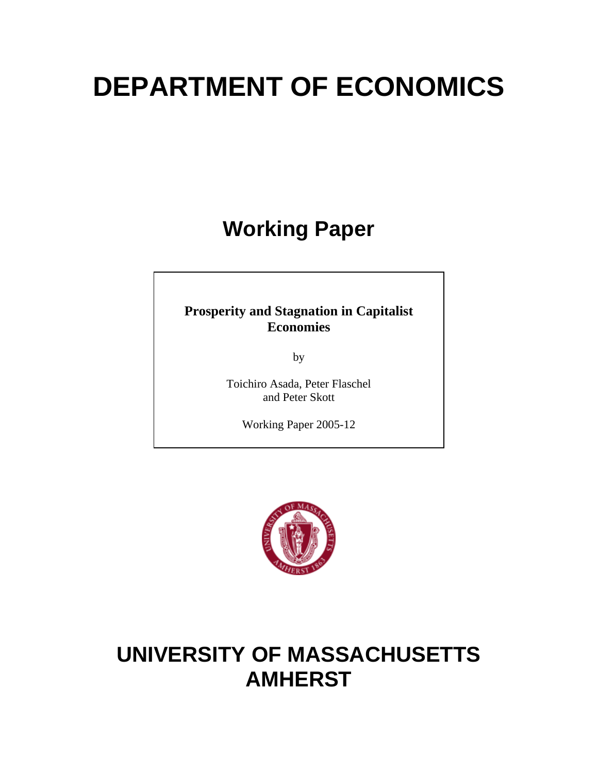# **DEPARTMENT OF ECONOMICS**

## **Working Paper**

## **Prosperity and Stagnation in Capitalist Economies**

by

Toichiro Asada, Peter Flaschel and Peter Skott

Working Paper 2005-12



## **UNIVERSITY OF MASSACHUSETTS AMHERST**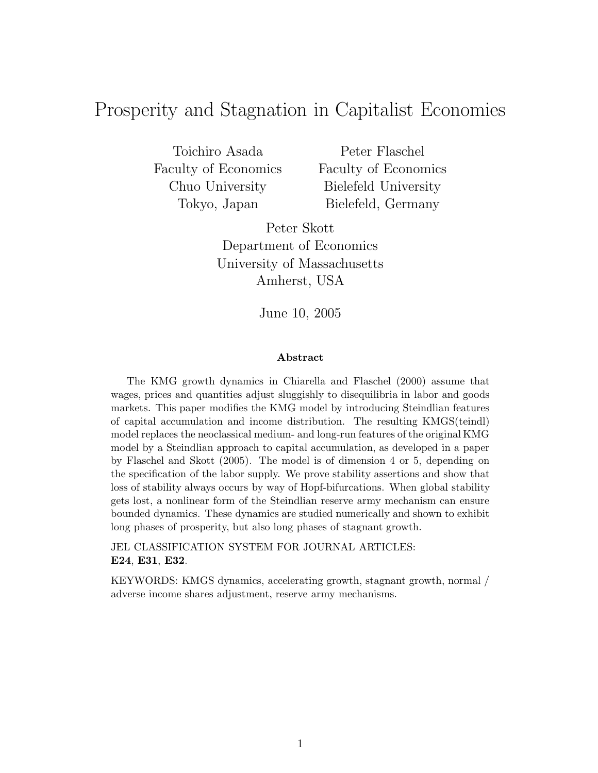## Prosperity and Stagnation in Capitalist Economies

Toichiro Asada Faculty of Economics Chuo University Tokyo, Japan

Peter Flaschel Faculty of Economics Bielefeld University Bielefeld, Germany

Peter Skott Department of Economics University of Massachusetts Amherst, USA

June 10, 2005

#### **Abstract**

The KMG growth dynamics in Chiarella and Flaschel (2000) assume that wages, prices and quantities adjust sluggishly to disequilibria in labor and goods markets. This paper modifies the KMG model by introducing Steindlian features of capital accumulation and income distribution. The resulting KMGS(teindl) model replaces the neoclassical medium- and long-run features of the original KMG model by a Steindlian approach to capital accumulation, as developed in a paper by Flaschel and Skott (2005). The model is of dimension 4 or 5, depending on the specification of the labor supply. We prove stability assertions and show that loss of stability always occurs by way of Hopf-bifurcations. When global stability gets lost, a nonlinear form of the Steindlian reserve army mechanism can ensure bounded dynamics. These dynamics are studied numerically and shown to exhibit long phases of prosperity, but also long phases of stagnant growth.

JEL CLASSIFICATION SYSTEM FOR JOURNAL ARTICLES: **E24**, **E31**, **E32**.

KEYWORDS: KMGS dynamics, accelerating growth, stagnant growth, normal / adverse income shares adjustment, reserve army mechanisms.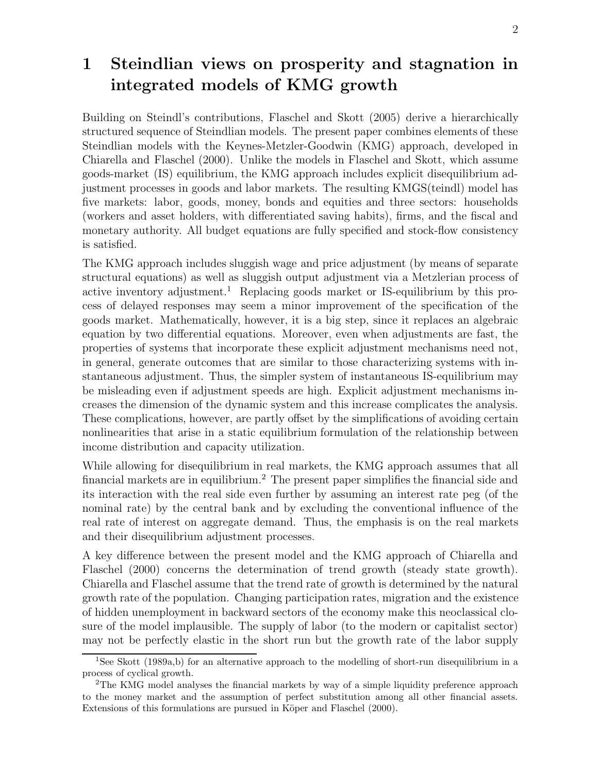## **1 Steindlian views on prosperity and stagnation in integrated models of KMG growth**

Building on Steindl's contributions, Flaschel and Skott (2005) derive a hierarchically structured sequence of Steindlian models. The present paper combines elements of these Steindlian models with the Keynes-Metzler-Goodwin (KMG) approach, developed in Chiarella and Flaschel (2000). Unlike the models in Flaschel and Skott, which assume goods-market (IS) equilibrium, the KMG approach includes explicit disequilibrium adjustment processes in goods and labor markets. The resulting KMGS(teindl) model has five markets: labor, goods, money, bonds and equities and three sectors: households (workers and asset holders, with differentiated saving habits), firms, and the fiscal and monetary authority. All budget equations are fully specified and stock-flow consistency is satisfied.

The KMG approach includes sluggish wage and price adjustment (by means of separate structural equations) as well as sluggish output adjustment via a Metzlerian process of active inventory adjustment.<sup>1</sup> Replacing goods market or IS-equilibrium by this process of delayed responses may seem a minor improvement of the specification of the goods market. Mathematically, however, it is a big step, since it replaces an algebraic equation by two differential equations. Moreover, even when adjustments are fast, the properties of systems that incorporate these explicit adjustment mechanisms need not, in general, generate outcomes that are similar to those characterizing systems with instantaneous adjustment. Thus, the simpler system of instantaneous IS-equilibrium may be misleading even if adjustment speeds are high. Explicit adjustment mechanisms increases the dimension of the dynamic system and this increase complicates the analysis. These complications, however, are partly offset by the simplifications of avoiding certain nonlinearities that arise in a static equilibrium formulation of the relationship between income distribution and capacity utilization.

While allowing for disequilibrium in real markets, the KMG approach assumes that all financial markets are in equilibrium.<sup>2</sup> The present paper simplifies the financial side and its interaction with the real side even further by assuming an interest rate peg (of the nominal rate) by the central bank and by excluding the conventional influence of the real rate of interest on aggregate demand. Thus, the emphasis is on the real markets and their disequilibrium adjustment processes.

A key difference between the present model and the KMG approach of Chiarella and Flaschel (2000) concerns the determination of trend growth (steady state growth). Chiarella and Flaschel assume that the trend rate of growth is determined by the natural growth rate of the population. Changing participation rates, migration and the existence of hidden unemployment in backward sectors of the economy make this neoclassical closure of the model implausible. The supply of labor (to the modern or capitalist sector) may not be perfectly elastic in the short run but the growth rate of the labor supply

<sup>&</sup>lt;sup>1</sup>See Skott (1989a,b) for an alternative approach to the modelling of short-run disequilibrium in a process of cyclical growth.

<sup>&</sup>lt;sup>2</sup>The KMG model analyses the financial markets by way of a simple liquidity preference approach to the money market and the assumption of perfect substitution among all other financial assets. Extensions of this formulations are pursued in Köper and Flaschel (2000).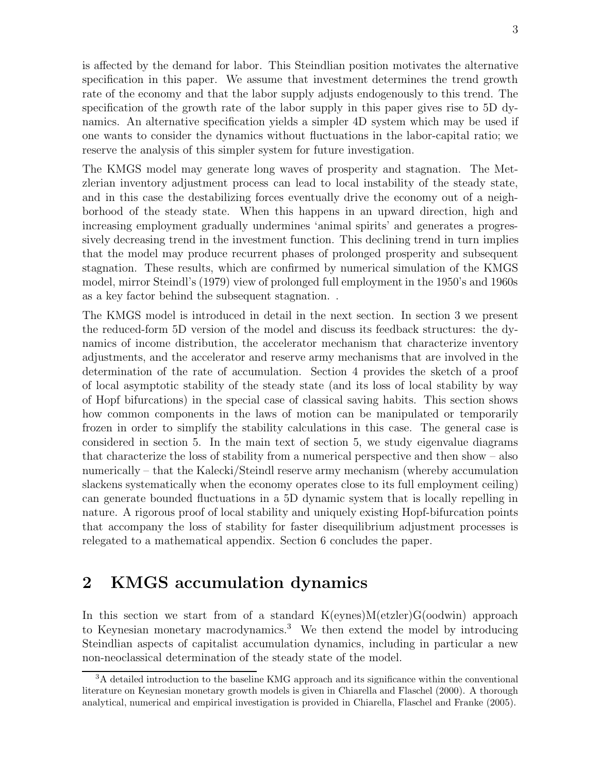is affected by the demand for labor. This Steindlian position motivates the alternative specification in this paper. We assume that investment determines the trend growth rate of the economy and that the labor supply adjusts endogenously to this trend. The specification of the growth rate of the labor supply in this paper gives rise to 5D dynamics. An alternative specification yields a simpler 4D system which may be used if one wants to consider the dynamics without fluctuations in the labor-capital ratio; we reserve the analysis of this simpler system for future investigation.

The KMGS model may generate long waves of prosperity and stagnation. The Metzlerian inventory adjustment process can lead to local instability of the steady state, and in this case the destabilizing forces eventually drive the economy out of a neighborhood of the steady state. When this happens in an upward direction, high and increasing employment gradually undermines 'animal spirits' and generates a progressively decreasing trend in the investment function. This declining trend in turn implies that the model may produce recurrent phases of prolonged prosperity and subsequent stagnation. These results, which are confirmed by numerical simulation of the KMGS model, mirror Steindl's (1979) view of prolonged full employment in the 1950's and 1960s as a key factor behind the subsequent stagnation. .

The KMGS model is introduced in detail in the next section. In section 3 we present the reduced-form 5D version of the model and discuss its feedback structures: the dynamics of income distribution, the accelerator mechanism that characterize inventory adjustments, and the accelerator and reserve army mechanisms that are involved in the determination of the rate of accumulation. Section 4 provides the sketch of a proof of local asymptotic stability of the steady state (and its loss of local stability by way of Hopf bifurcations) in the special case of classical saving habits. This section shows how common components in the laws of motion can be manipulated or temporarily frozen in order to simplify the stability calculations in this case. The general case is considered in section 5. In the main text of section 5, we study eigenvalue diagrams that characterize the loss of stability from a numerical perspective and then show – also numerically – that the Kalecki/Steindl reserve army mechanism (whereby accumulation slackens systematically when the economy operates close to its full employment ceiling) can generate bounded fluctuations in a 5D dynamic system that is locally repelling in nature. A rigorous proof of local stability and uniquely existing Hopf-bifurcation points that accompany the loss of stability for faster disequilibrium adjustment processes is relegated to a mathematical appendix. Section 6 concludes the paper.

## **2 KMGS accumulation dynamics**

In this section we start from of a standard  $K(\text{eynes})M(\text{etzler})G(\text{oodwin})$  approach to Keynesian monetary macrodynamics.<sup>3</sup> We then extend the model by introducing Steindlian aspects of capitalist accumulation dynamics, including in particular a new non-neoclassical determination of the steady state of the model.

<sup>&</sup>lt;sup>3</sup>A detailed introduction to the baseline KMG approach and its significance within the conventional literature on Keynesian monetary growth models is given in Chiarella and Flaschel (2000). A thorough analytical, numerical and empirical investigation is provided in Chiarella, Flaschel and Franke (2005).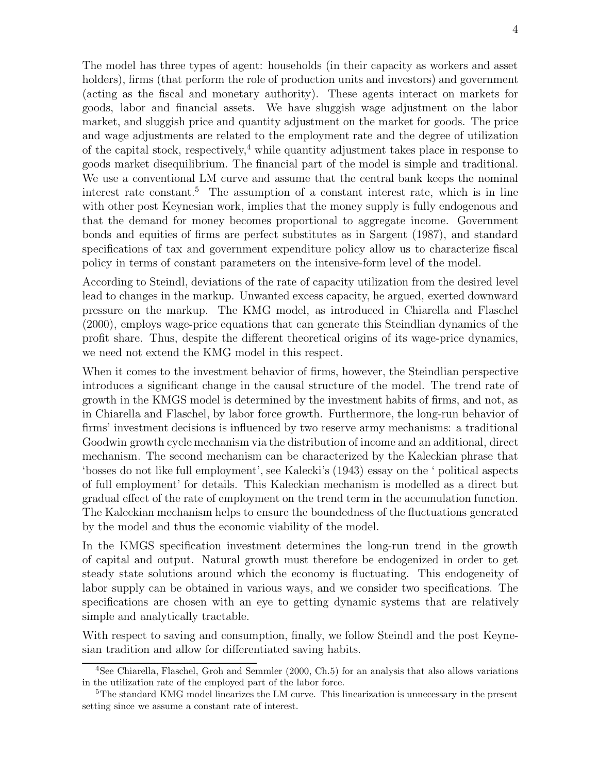4

The model has three types of agent: households (in their capacity as workers and asset holders), firms (that perform the role of production units and investors) and government (acting as the fiscal and monetary authority). These agents interact on markets for goods, labor and financial assets. We have sluggish wage adjustment on the labor market, and sluggish price and quantity adjustment on the market for goods. The price and wage adjustments are related to the employment rate and the degree of utilization of the capital stock, respectively,<sup>4</sup> while quantity adjustment takes place in response to goods market disequilibrium. The financial part of the model is simple and traditional. We use a conventional LM curve and assume that the central bank keeps the nominal interest rate constant.<sup>5</sup> The assumption of a constant interest rate, which is in line with other post Keynesian work, implies that the money supply is fully endogenous and that the demand for money becomes proportional to aggregate income. Government bonds and equities of firms are perfect substitutes as in Sargent (1987), and standard specifications of tax and government expenditure policy allow us to characterize fiscal policy in terms of constant parameters on the intensive-form level of the model.

According to Steindl, deviations of the rate of capacity utilization from the desired level lead to changes in the markup. Unwanted excess capacity, he argued, exerted downward pressure on the markup. The KMG model, as introduced in Chiarella and Flaschel (2000), employs wage-price equations that can generate this Steindlian dynamics of the profit share. Thus, despite the different theoretical origins of its wage-price dynamics, we need not extend the KMG model in this respect.

When it comes to the investment behavior of firms, however, the Steindlian perspective introduces a significant change in the causal structure of the model. The trend rate of growth in the KMGS model is determined by the investment habits of firms, and not, as in Chiarella and Flaschel, by labor force growth. Furthermore, the long-run behavior of firms' investment decisions is influenced by two reserve army mechanisms: a traditional Goodwin growth cycle mechanism via the distribution of income and an additional, direct mechanism. The second mechanism can be characterized by the Kaleckian phrase that 'bosses do not like full employment', see Kalecki's (1943) essay on the ' political aspects of full employment' for details. This Kaleckian mechanism is modelled as a direct but gradual effect of the rate of employment on the trend term in the accumulation function. The Kaleckian mechanism helps to ensure the boundedness of the fluctuations generated by the model and thus the economic viability of the model.

In the KMGS specification investment determines the long-run trend in the growth of capital and output. Natural growth must therefore be endogenized in order to get steady state solutions around which the economy is fluctuating. This endogeneity of labor supply can be obtained in various ways, and we consider two specifications. The specifications are chosen with an eye to getting dynamic systems that are relatively simple and analytically tractable.

With respect to saving and consumption, finally, we follow Steindl and the post Keynesian tradition and allow for differentiated saving habits.

<sup>4</sup>See Chiarella, Flaschel, Groh and Semmler (2000, Ch.5) for an analysis that also allows variations in the utilization rate of the employed part of the labor force.

<sup>&</sup>lt;sup>5</sup>The standard KMG model linearizes the LM curve. This linearization is unnecessary in the present setting since we assume a constant rate of interest.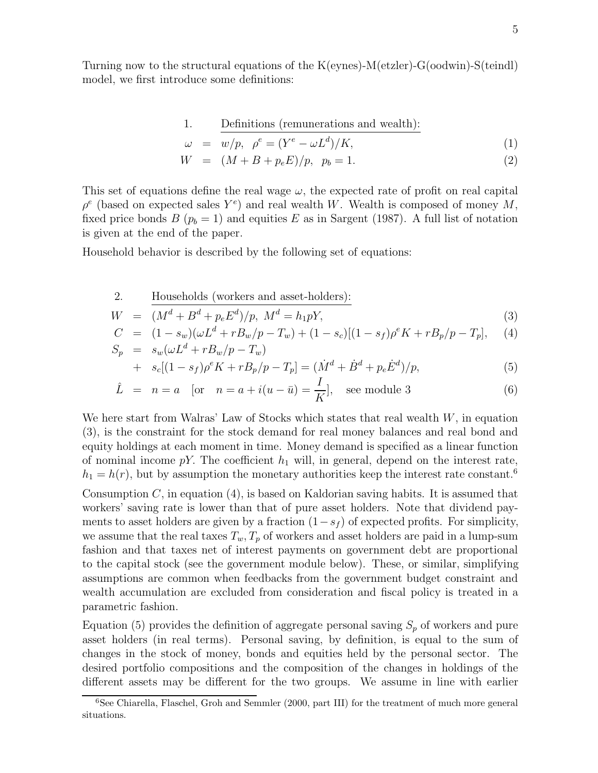Turning now to the structural equations of the K(eynes)-M(etzler)-G(oodwin)-S(teindl) model, we first introduce some definitions:

<sup>1</sup>*.* Definitions (remunerations and wealth):

$$
\omega = w/p, \ \rho^e = (Y^e - \omega L^d)/K,\tag{1}
$$

$$
W = (M + B + p_e E)/p, \ \ p_b = 1. \tag{2}
$$

This set of equations define the real wage *ω*, the expected rate of profit on real capital  $\rho^e$  (based on expected sales  $Y^e$ ) and real wealth *W*. Wealth is composed of money *M*, fixed price bonds *B*  $(n_0 - 1)$  and equities *E* as in Sargent (1987). A full list of notation fixed price bonds  $B(p_b = 1)$  and equities  $E$  as in Sargent (1987). A full list of notation is given at the end of the paper.

Household behavior is described by the following set of equations:

<sup>2</sup>*.* Households (workers and asset-holders):

$$
W = (M^{d} + B^{d} + p_{e}E^{d})/p, M^{d} = h_{1}pY,
$$
\n(3)

$$
C = (1 - s_w)(\omega L^d + r B_w/p - T_w) + (1 - s_c)[(1 - s_f)\rho^e K + r B_p/p - T_p], \quad (4)
$$

$$
S_p = s_w(\omega L^d + rB_w/p - T_w) + s_c[(1 - s_f)\rho^e K + rB_p/p - T_p] = (\dot{M}^d + \dot{B}^d + p_e \dot{E}^d)/p,
$$
(5)

$$
\hat{L} = n = a \quad \text{[or} \quad n = a + i(u - \bar{u}) = \frac{I}{K}\text{],} \quad \text{see module 3} \tag{6}
$$

We here start from Walras' Law of Stocks which states that real wealth *W*, in equation (3), is the constraint for the stock demand for real money balances and real bond and equity holdings at each moment in time. Money demand is specified as a linear function of nominal income  $pY$ . The coefficient  $h_1$  will, in general, depend on the interest rate,  $h_1 = h(r)$ , but by assumption the monetary authorities keep the interest rate constant.<sup>6</sup>

Consumption *C*, in equation (4), is based on Kaldorian saving habits. It is assumed that workers' saving rate is lower than that of pure asset holders. Note that dividend payments to asset holders are given by a fraction  $(1-s<sub>f</sub>)$  of expected profits. For simplicity, we assume that the real taxes  $T_w$ ,  $T_p$  of workers and asset holders are paid in a lump-sum fashion and that taxes net of interest payments on government debt are proportional to the capital stock (see the government module below). These, or similar, simplifying assumptions are common when feedbacks from the government budget constraint and wealth accumulation are excluded from consideration and fiscal policy is treated in a parametric fashion.

Equation (5) provides the definition of aggregate personal saving  $S_p$  of workers and pure asset holders (in real terms). Personal saving, by definition, is equal to the sum of changes in the stock of money, bonds and equities held by the personal sector. The desired portfolio compositions and the composition of the changes in holdings of the different assets may be different for the two groups. We assume in line with earlier

<sup>6</sup>See Chiarella, Flaschel, Groh and Semmler (2000, part III) for the treatment of much more general situations.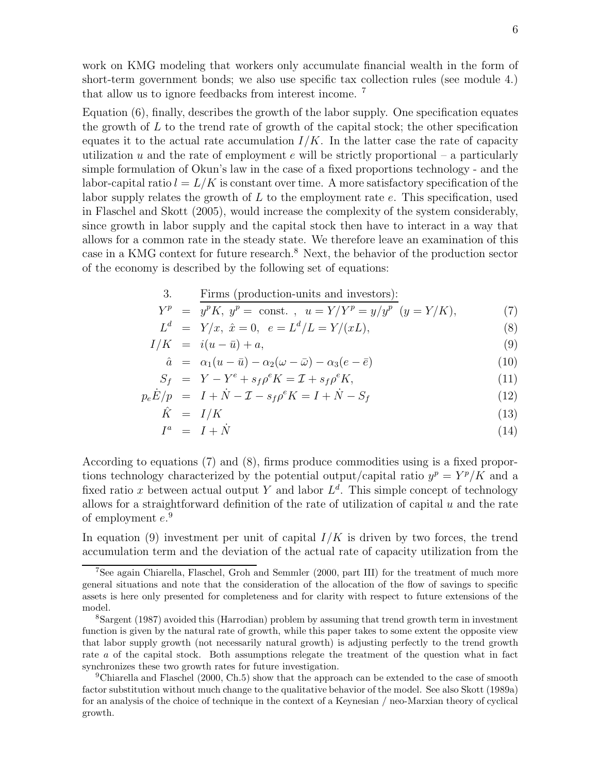work on KMG modeling that workers only accumulate financial wealth in the form of short-term government bonds; we also use specific tax collection rules (see module 4.) that allow us to ignore feedbacks from interest income. <sup>7</sup>

Equation (6), finally, describes the growth of the labor supply. One specification equates the growth of *L* to the trend rate of growth of the capital stock; the other specification equates it to the actual rate accumulation  $I/K$ . In the latter case the rate of capacity utilization *u* and the rate of employment *e* will be strictly proportional – a particularly simple formulation of Okun's law in the case of a fixed proportions technology - and the labor-capital ratio  $l = L/K$  is constant over time. A more satisfactory specification of the labor supply relates the growth of *L* to the employment rate *e*. This specification, used in Flaschel and Skott (2005), would increase the complexity of the system considerably, since growth in labor supply and the capital stock then have to interact in a way that allows for a common rate in the steady state. We therefore leave an examination of this case in a KMG context for future research.<sup>8</sup> Next, the behavior of the production sector of the economy is described by the following set of equations:

3. First (production-units and investors):  
\n
$$
V^{p} = \frac{P}{u^{p}K} \frac{u^{p}}{u^{p}} = \text{const} \qquad u = \frac{V}{V^{p}} = \frac{u}{u^{p}} \left( u - \frac{V}{K} \right) \tag{7}
$$

$$
Y^{p} = y^{p} K, y^{p} = \text{const.}, u = Y/Y^{p} = y/y^{p} (y = Y/K),
$$
\n(7)\n
$$
L^{d} = Y/x, \hat{x} = 0, e = L^{d}/L = Y/(xL),
$$
\n(8)

$$
I/K = i(u - \bar{u}) + a,\t\t(9)
$$

$$
\hat{a} = \alpha_1(u - \bar{u}) - \alpha_2(\omega - \bar{\omega}) - \alpha_3(e - \bar{e})
$$
\n(10)

$$
S_f = Y - Y^e + s_f \rho^e K = \mathcal{I} + s_f \rho^e K,\tag{11}
$$

$$
p_e \dot{E}/p = I + \dot{N} - \mathcal{I} - s_f \rho^e K = I + \dot{N} - S_f \tag{12}
$$

$$
\hat{K} = I/K \tag{13}
$$
\n
$$
I^a = I + \dot{M} \tag{14}
$$

$$
I^a = I + \dot{N} \tag{14}
$$

According to equations (7) and (8), firms produce commodities using is a fixed proportions technology characterized by the potential output/capital ratio  $y^p = Y^p/K$  and a fixed ratio x between actual output Y and labor  $L<sup>d</sup>$ . This simple concept of technology allows for a straightforward definition of the rate of utilization of capital *u* and the rate of employment *e*. 9

In equation (9) investment per unit of capital *I/K* is driven by two forces, the trend accumulation term and the deviation of the actual rate of capacity utilization from the

<sup>7</sup>See again Chiarella, Flaschel, Groh and Semmler (2000, part III) for the treatment of much more general situations and note that the consideration of the allocation of the flow of savings to specific assets is here only presented for completeness and for clarity with respect to future extensions of the model.

<sup>8</sup>Sargent (1987) avoided this (Harrodian) problem by assuming that trend growth term in investment function is given by the natural rate of growth, while this paper takes to some extent the opposite view that labor supply growth (not necessarily natural growth) is adjusting perfectly to the trend growth rate *a* of the capital stock. Both assumptions relegate the treatment of the question what in fact synchronizes these two growth rates for future investigation.

<sup>&</sup>lt;sup>9</sup>Chiarella and Flaschel (2000, Ch.5) show that the approach can be extended to the case of smooth factor substitution without much change to the qualitative behavior of the model. See also Skott (1989a) for an analysis of the choice of technique in the context of a Keynesian / neo-Marxian theory of cyclical growth.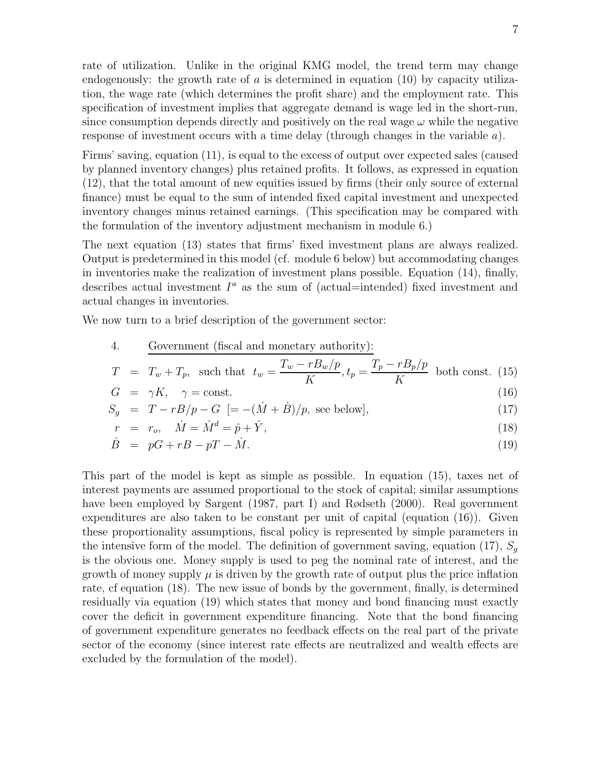rate of utilization. Unlike in the original KMG model, the trend term may change endogenously: the growth rate of *a* is determined in equation (10) by capacity utilization, the wage rate (which determines the profit share) and the employment rate. This specification of investment implies that aggregate demand is wage led in the short-run, since consumption depends directly and positively on the real wage  $\omega$  while the negative response of investment occurs with a time delay (through changes in the variable *a*).

Firms' saving, equation (11), is equal to the excess of output over expected sales (caused by planned inventory changes) plus retained profits. It follows, as expressed in equation (12), that the total amount of new equities issued by firms (their only source of external finance) must be equal to the sum of intended fixed capital investment and unexpected inventory changes minus retained earnings. (This specification may be compared with the formulation of the inventory adjustment mechanism in module 6.)

The next equation (13) states that firms' fixed investment plans are always realized. Output is predetermined in this model (cf. module 6 below) but accommodating changes in inventories make the realization of investment plans possible. Equation (14), finally, describes actual investment  $I^a$  as the sum of (actual=intended) fixed investment and actual changes in inventories.

We now turn to a brief description of the government sector:

4. Government (fiscal and monetary authority):  
\n
$$
T = T_w + T_p, \text{ such that } t_w = \frac{T_w - rB_w/p}{K}, t_p = \frac{T_p - rB_p/p}{K} \text{ both const. (15)}
$$
\n
$$
G = \gamma K \quad \gamma = \text{const.}
$$
\n(16)

$$
G = \gamma K, \quad \gamma = \text{const.}
$$
\n
$$
G = \frac{1}{T} \sum_{i=1}^{T} \frac{G_i}{G_i} \left( \frac{1}{1 + \sum_{i=1}^{T} (1 - \sum_{i=1}^{T} (1 - \sum_{i=1}^{T} (1 - \sum_{i=1}^{T} (1 - \sum_{i=1}^{T} (1 - \sum_{i=1}^{T} (1 - \sum_{i=1}^{T} (1 - \sum_{i=1}^{T} (1 - \sum_{i=1}^{T} (1 - \sum_{i=1}^{T} (1 - \sum_{i=1}^{T} (1 - \sum_{i=1}^{T} (1 - \sum_{i=1}^{T} (1 - \sum_{i=1}^{T} (1 - \sum_{i=1}^{T} (1 - \sum_{i=1}^{T} (1 - \sum_{i=1}^{T} (1 - \sum_{i=1}^{T} (1 - \sum_{i=1}^{T} (1 - \sum_{i=1}^{T} (1 - \sum_{i=1}^{T} (1 - \sum_{i=1}^{T} (1 - \sum_{i=1}^{T} (1 - \sum_{i=1}^{T} (1 - \sum_{i=1}^{T} (1 - \sum_{i=1}^{T} (1 - \sum_{i=1}^{T} (1 - \sum_{i=1}^{T} (1 - \sum_{i=1}^{T} (1 - \sum_{i=1}^{T} (1 - \sum_{i=1}^{T} (1 - \sum_{i=1}^{T} (1 - \sum_{i=1}^{T} (1 - \sum_{i=1}^{T} (1 - \sum_{i=1}^{T} (1 - \sum_{i=1}^{T} (1 - \sum_{i=1}^{T} (1 - \sum_{i=1}^{T} (1 - \sum_{i=1}^{T} (1 - \sum_{i=1}^{T} (1 - \sum_{i=1}^{T} (1 - \sum_{i=1}^{T} (1 - \sum_{i=1}^{T} (1 - \sum_{i=1}^{T} (1 - \sum_{i=1}^{T} (1 - \sum_{i=1}^{T} (1 - \sum_{i=1}^{T} (1 - \sum_{i=1}^{T} (1 - \sum_{i=1}^{T} (1 - \sum_{i=1}^{T} (1 - \sum_{i=1}^{T} (1 - \sum_{i=1}^{T} (1 - \sum_{i=1}^{T} (1 - \sum_{i=1
$$

$$
S_g = T - rB/p - G \; [ = -(\dot{M} + \dot{B})/p, \text{ see below}], \tag{17}
$$

$$
r = r_o, \quad \dot{M} = \dot{M}^d = \hat{p} + \hat{Y}, \tag{18}
$$

$$
\dot{B} = pG + rB - pT - \dot{M}.\tag{19}
$$

This part of the model is kept as simple as possible. In equation (15), taxes net of interest payments are assumed proportional to the stock of capital; similar assumptions have been employed by Sargent (1987, part I) and Rødseth (2000). Real government expenditures are also taken to be constant per unit of capital (equation (16)). Given these proportionality assumptions, fiscal policy is represented by simple parameters in the intensive form of the model. The definition of government saving, equation (17),  $S<sub>g</sub>$ is the obvious one. Money supply is used to peg the nominal rate of interest, and the growth of money supply  $\mu$  is driven by the growth rate of output plus the price inflation rate, cf equation (18). The new issue of bonds by the government, finally, is determined residually via equation (19) which states that money and bond financing must exactly cover the deficit in government expenditure financing. Note that the bond financing of government expenditure generates no feedback effects on the real part of the private sector of the economy (since interest rate effects are neutralized and wealth effects are excluded by the formulation of the model).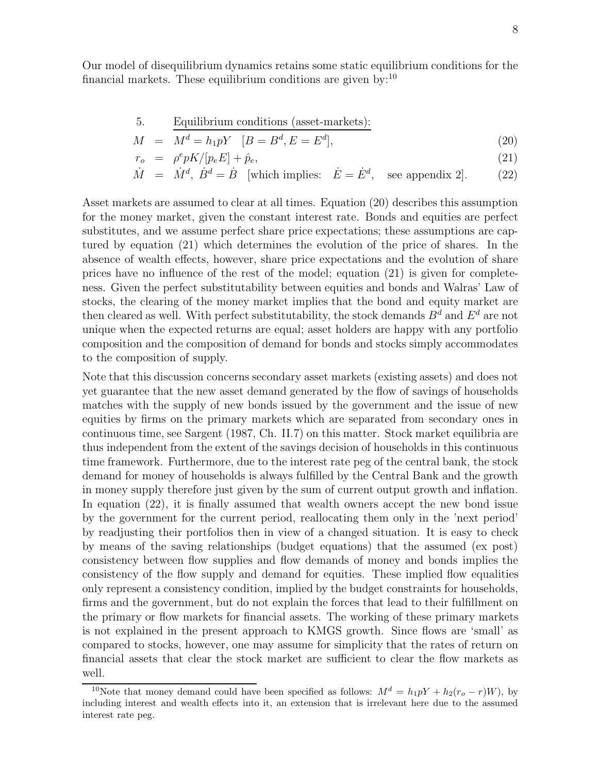Our model of disequilibrium dynamics retains some static equilibrium conditions for the financial markets. These equilibrium conditions are given by: $^{10}$ 

5. Equilibrium conditions (asset-markets): 
$$
= \frac{1}{2} \left( \frac{1}{2} \right)^{1/2} = \frac{1}{2} \left( \frac{1}{2} \right)^{1/2} = \frac{1}{2} \left( \frac{1}{2} \right)^{1/2} = \frac{1}{2} \left( \frac{1}{2} \right)^{1/2} = \frac{1}{2} \left( \frac{1}{2} \right)^{1/2} = \frac{1}{2} \left( \frac{1}{2} \right)^{1/2} = \frac{1}{2} \left( \frac{1}{2} \right)^{1/2} = \frac{1}{2} \left( \frac{1}{2} \right)^{1/2} = \frac{1}{2} \left( \frac{1}{2} \right)^{1/2} = \frac{1}{2} \left( \frac{1}{2} \right)^{1/2} = \frac{1}{2} \left( \frac{1}{2} \right)^{1/2} = \frac{1}{2} \left( \frac{1}{2} \right)^{1/2} = \frac{1}{2} \left( \frac{1}{2} \right)^{1/2} = \frac{1}{2} \left( \frac{1}{2} \right)^{1/2} = \frac{1}{2} \left( \frac{1}{2} \right)^{1/2} = \frac{1}{2} \left( \frac{1}{2} \right)^{1/2} = \frac{1}{2} \left( \frac{1}{2} \right)^{1/2} = \frac{1}{2} \left( \frac{1}{2} \right)^{1/2} = \frac{1}{2} \left( \frac{1}{2} \right)^{1/2} = \frac{1}{2} \left( \frac{1}{2} \right)^{1/2} = \frac{1}{2} \left( \frac{1}{2} \right)^{1/2} = \frac{1}{2} \left( \frac{1}{2} \right)^{1/2} = \frac{1}{2} \left( \frac{1}{2} \right)^{1/2} = \frac{1}{2} \left( \frac{1}{2} \right)^{1/2} = \frac{1}{2} \left( \frac{1}{2} \right)^{1/2} = \frac{1}{2} \left( \frac{1}{2} \right)^{1/2} = \frac{1}{2} \left( \frac{1}{2} \right)^{1/2} = \frac{1}{2} \left( \frac{1}{2} \right)^{1/2} = \frac{1}{2} \left( \frac{1}{2} \right)^
$$

$$
M = M^d = h_1 p Y \quad [B = B^d, E = E^d], \tag{20}
$$

$$
r_o = \rho^e p K / [p_e E] + \hat{p}_e,\tag{21}
$$

$$
\dot{M} = \dot{M}^d, \ \dot{B}^d = \dot{B} \quad \text{[which implies:} \quad \dot{E} = \dot{E}^d, \quad \text{see appendix 2].} \tag{22}
$$

Asset markets are assumed to clear at all times. Equation (20) describes this assumption for the money market, given the constant interest rate. Bonds and equities are perfect substitutes, and we assume perfect share price expectations; these assumptions are captured by equation (21) which determines the evolution of the price of shares. In the absence of wealth effects, however, share price expectations and the evolution of share prices have no influence of the rest of the model; equation (21) is given for completeness. Given the perfect substitutability between equities and bonds and Walras' Law of stocks, the clearing of the money market implies that the bond and equity market are then cleared as well. With perfect substitutability, the stock demands  $B^d$  and  $E^d$  are not unique when the expected returns are equal; asset holders are happy with any portfolio composition and the composition of demand for bonds and stocks simply accommodates to the composition of supply.

Note that this discussion concerns secondary asset markets (existing assets) and does not yet guarantee that the new asset demand generated by the flow of savings of households matches with the supply of new bonds issued by the government and the issue of new equities by firms on the primary markets which are separated from secondary ones in continuous time, see Sargent (1987, Ch. II.7) on this matter. Stock market equilibria are thus independent from the extent of the savings decision of households in this continuous time framework. Furthermore, due to the interest rate peg of the central bank, the stock demand for money of households is always fulfilled by the Central Bank and the growth in money supply therefore just given by the sum of current output growth and inflation. In equation (22), it is finally assumed that wealth owners accept the new bond issue by the government for the current period, reallocating them only in the 'next period' by readjusting their portfolios then in view of a changed situation. It is easy to check by means of the saving relationships (budget equations) that the assumed (ex post) consistency between flow supplies and flow demands of money and bonds implies the consistency of the flow supply and demand for equities. These implied flow equalities only represent a consistency condition, implied by the budget constraints for households, firms and the government, but do not explain the forces that lead to their fulfillment on the primary or flow markets for financial assets. The working of these primary markets is not explained in the present approach to KMGS growth. Since flows are 'small' as compared to stocks, however, one may assume for simplicity that the rates of return on financial assets that clear the stock market are sufficient to clear the flow markets as well.

<sup>&</sup>lt;sup>10</sup>Note that money demand could have been specified as follows:  $M^d = h_1 pY + h_2(r_o - r)W$ , by including interest and wealth effects into it, an extension that is irrelevant here due to the assumed interest rate peg.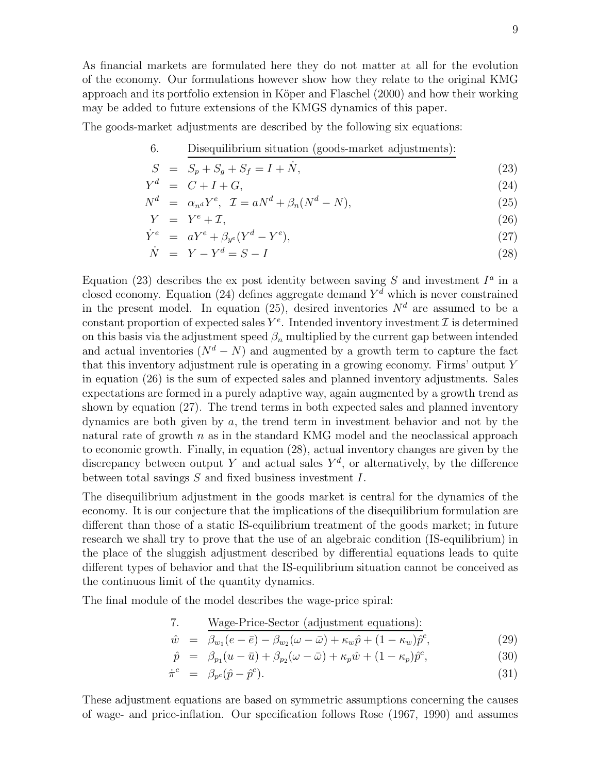As financial markets are formulated here they do not matter at all for the evolution of the economy. Our formulations however show how they relate to the original KMG approach and its portfolio extension in Köper and Flaschel (2000) and how their working may be added to future extensions of the KMGS dynamics of this paper.

The goods-market adjustments are described by the following six equations:

<sup>6</sup>*.* Disequilibrium situation (goods-market adjustments):

$$
S = S_p + S_g + S_f = I + \dot{N},\tag{23}
$$

$$
Y^d = C + I + G,\tag{24}
$$

$$
N^d = \alpha_{n^d} Y^e, \quad \mathcal{I} = aN^d + \beta_n (N^d - N), \tag{25}
$$

$$
Y = Y^e + \mathcal{I},\tag{26}
$$
\n
$$
\dot{Y}^e = Y^e + \mathcal{I},\tag{27}
$$

$$
\dot{Y}^e = aY^e + \beta_{y^e}(Y^d - Y^e),\tag{27}
$$

$$
\dot{N} = Y - Y^d = S - I \tag{28}
$$

Equation (23) describes the ex post identity between saving *S* and investment  $I^a$  in a closed economy. Equation (24) defines aggregate demand  $Y^{\bar{d}}$  which is never constrained in the present model. In equation (25), desired inventories  $N<sup>d</sup>$  are assumed to be a constant proportion of expected sales  $Y^e$ . Intended inventory investment  $\mathcal I$  is determined<br>on this basis via the adjustment speed  $\beta$ , multiplied by the current gap between intended on this basis via the adjustment speed  $\beta_n$  multiplied by the current gap between intended and actual inventories  $(N^d - N)$  and augmented by a growth term to capture the fact that this inventory adjustment rule is operating in a growing economy. Firms' output *Y* in equation (26) is the sum of expected sales and planned inventory adjustments. Sales expectations are formed in a purely adaptive way, again augmented by a growth trend as shown by equation (27). The trend terms in both expected sales and planned inventory dynamics are both given by *a,* the trend term in investment behavior and not by the natural rate of growth *n* as in the standard KMG model and the neoclassical approach to economic growth. Finally, in equation (28), actual inventory changes are given by the discrepancy between output *Y* and actual sales  $Y^d$ , or alternatively, by the difference between total savings *S* and fixed business investment *I*.

The disequilibrium adjustment in the goods market is central for the dynamics of the economy. It is our conjecture that the implications of the disequilibrium formulation are different than those of a static IS-equilibrium treatment of the goods market; in future research we shall try to prove that the use of an algebraic condition (IS-equilibrium) in the place of the sluggish adjustment described by differential equations leads to quite different types of behavior and that the IS-equilibrium situation cannot be conceived as the continuous limit of the quantity dynamics.

The final module of the model describes the wage-price spiral:

7. Wage-Price-Search (adjustment equations): 
$$
2\left(1-\frac{2}{\sqrt{1-\frac{2}{\sqrt{1-\frac{2}{\sqrt{1-\frac{2}{\sqrt{1-\frac{2}{\sqrt{1-\frac{2}{\sqrt{1-\frac{2}{\sqrt{1-\frac{2}{\sqrt{1-\frac{2}{\sqrt{1-\frac{2}{\sqrt{1-\frac{2}{\sqrt{1-\frac{2}{\sqrt{1-\frac{2}{\sqrt{1-\frac{2}{\sqrt{1-\frac{2}{\sqrt{1-\frac{2}{\sqrt{1-\frac{2}{\sqrt{1-\frac{2}{\sqrt{1-\frac{2}{\sqrt{1-\frac{2}{\sqrt{1-\frac{2}{\sqrt{1-\frac{2}{\sqrt{1-\frac{2}{\sqrt{1-\frac{2}{\sqrt{1-\frac{2}{\sqrt{1-\frac{2}{\sqrt{1-\frac{2}{\sqrt{1-\frac{2}{\sqrt{1-\frac{2}{\sqrt{1-\frac{2}{\sqrt{1-\frac{2}{\sqrt{1-\frac{2}{\sqrt{1-\frac{2}{\sqrt{1-\frac{2}{\sqrt{1-\frac{2}{\sqrt{1-\frac{2}{\sqrt{1-\frac{2}{\sqrt{1-\frac{2}{\sqrt{1-\frac{2}{\sqrt{1-\frac{2}{\sqrt{1-\frac{2}{\sqrt{1-\frac{2}{\sqrt{1-\frac{2}{\sqrt{1-\frac{2}{\sqrt{1-\frac{2}{\sqrt{1-\frac{2}{\sqrt{1-\frac{2}{\sqrt{1-\frac{2\sqrt{1-\frac{2}{\sqrt{1-\frac{2\sqrt{1-\frac{2}{\sqrt{1-\frac{2\sqrt{1-\frac{2}{\sqrt{1-\frac{2\sqrt{1-\frac{2}{\sqrt{1-\frac{2\sqrt{1-\frac{2}{\sqrt{1-\frac{2\sqrt{1-\frac{2\sqrt{1-\frac{2\sqrt{1-\frac{2\sqrt{1\sqrt{1-\frac{2\sqrt{1\sqrt{1-\frac{2\sqrt{1-\frac{2\sqrt{1\sqrt{1-\frac{2\sqrt{1\sqrt{1 - \frac{2\sqrt{1\sqrt{1 \sqrt{1 \sqrt{1 \sqrt{1 \sqrt{1 \sqrt{2 \sqrt{1 \sqrt{1 \sqrt{1 \sqrt{1 \sqrt{2 \sqrt{1 \sqrt{2 \sqrt{1 \sqrt{2 \sqrt{1 \sqrt{2 \sqrt{1 \sqrt{2 \sqrt{1 \sqrt{2 \sqrt{1 \sqrt{2 \sqrt{1 \sqrt{2 \sqrt{1 \sqrt{2 \sqrt{1 \sqrt{2 \sqrt{1 \sqrt{2 \sqrt{1 \sqrt{2 \sqrt{1 \sqrt{2 \
$$

$$
\hat{w} = \beta_{w_1}(e - \bar{e}) - \beta_{w_2}(\omega - \bar{\omega}) + \kappa_w \hat{p} + (1 - \kappa_w) \hat{p}^c,\tag{29}
$$

$$
\hat{p} = \beta_{p_1}(u - \bar{u}) + \beta_{p_2}(\omega - \bar{\omega}) + \kappa_p \hat{w} + (1 - \kappa_p)\hat{p}^c,\tag{30}
$$

$$
\dot{\pi}^c = \beta_{p^c}(\hat{p} - \hat{p}^c). \tag{31}
$$

These adjustment equations are based on symmetric assumptions concerning the causes of wage- and price-inflation. Our specification follows Rose (1967, 1990) and assumes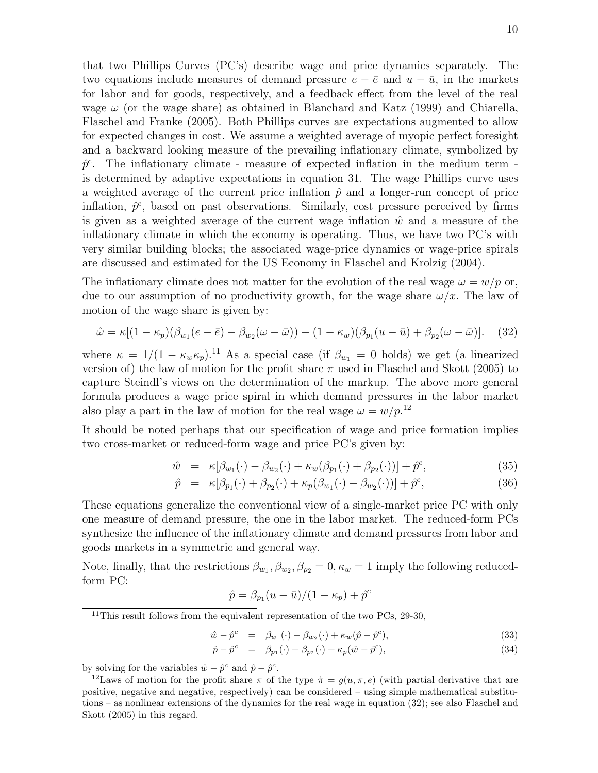that two Phillips Curves (PC's) describe wage and price dynamics separately. The two equations include measures of demand pressure  $e - \bar{e}$  and  $u - \bar{u}$ , in the markets for labor and for goods, respectively, and a feedback effect from the level of the real wage *ω* (or the wage share) as obtained in Blanchard and Katz (1999) and Chiarella, Flaschel and Franke (2005). Both Phillips curves are expectations augmented to allow for expected changes in cost. We assume a weighted average of myopic perfect foresight and a backward looking measure of the prevailing inflationary climate, symbolized by  $\hat{p}^c$ . The inflationary climate - measure of expected inflation in the medium term is determined by adaptive expectations in equation 31. The wage Phillips curve uses a weighted average of the current price inflation  $\hat{p}$  and a longer-run concept of price inflation,  $\hat{p}^c$ , based on past observations. Similarly, cost pressure perceived by firms<br>is given as a weighted average of the current wage inflation  $\hat{w}$  and a measure of the is given as a weighted average of the current wage inflation  $\hat{w}$  and a measure of the inflationary climate in which the economy is operating. Thus, we have two PC's with very similar building blocks; the associated wage-price dynamics or wage-price spirals are discussed and estimated for the US Economy in Flaschel and Krolzig (2004).

The inflationary climate does not matter for the evolution of the real wage  $\omega = w/p$  or, due to our assumption of no productivity growth, for the wage share  $\omega/x$ . The law of motion of the wage share is given by:

$$
\hat{\omega} = \kappa [(1 - \kappa_p)(\beta_{w_1}(e - \bar{e}) - \beta_{w_2}(\omega - \bar{\omega})) - (1 - \kappa_w)(\beta_{p_1}(u - \bar{u}) + \beta_{p_2}(\omega - \bar{\omega})]. \tag{32}
$$

where  $\kappa = 1/(1 - \kappa_w \kappa_p)$ .<sup>11</sup> As a special case (if  $\beta_{w_1} = 0$  holds) we get (a linearized version of) the law of motion for the profit share  $\pi$  used in Flaschel and Skott (2005) to version of) the law of motion for the profit share  $\pi$  used in Flaschel and Skott (2005) to capture Steindl's views on the determination of the markup. The above more general formula produces a wage price spiral in which demand pressures in the labor market also play a part in the law of motion for the real wage  $\omega = w/p^{12}$ .

It should be noted perhaps that our specification of wage and price formation implies two cross-market or reduced-form wage and price PC's given by:

$$
\hat{w} = \kappa [\beta_{w_1}(\cdot) - \beta_{w_2}(\cdot) + \kappa_w(\beta_{p_1}(\cdot) + \beta_{p_2}(\cdot))] + \hat{p}^c,
$$
\n(35)

$$
\hat{p} = \kappa [\beta_{p_1}(\cdot) + \beta_{p_2}(\cdot) + \kappa_p(\beta_{w_1}(\cdot) - \beta_{w_2}(\cdot))] + \hat{p}^c,
$$
\n(36)

These equations generalize the conventional view of a single-market price PC with only one measure of demand pressure, the one in the labor market. The reduced-form PCs synthesize the influence of the inflationary climate and demand pressures from labor and goods markets in a symmetric and general way.

Note, finally, that the restrictions  $\beta_{w_1}, \beta_{w_2}, \beta_{p_2} = 0, \kappa_w = 1$  imply the following reducedform PC:

$$
\hat{p} = \beta_{p_1}(u - \bar{u})/(1 - \kappa_p) + \hat{p}^c
$$

#### <sup>11</sup>This result follows from the equivalent representation of the two PCs,  $29-30$ ,

$$
\hat{w} - \hat{p}^c = \beta_{w_1}(\cdot) - \beta_{w_2}(\cdot) + \kappa_w(\hat{p} - \hat{p}^c),\tag{33}
$$

$$
\hat{p} - \hat{p}^c = \beta_{p_1}(\cdot) + \beta_{p_2}(\cdot) + \kappa_p(\hat{w} - \hat{p}^c),\tag{34}
$$

by solving for the variables  $\hat{w} - \hat{p}^c$  and  $\hat{p} - \hat{p}^c$ .<br><sup>12</sup>Laws of motion for the profit share  $\pi$  of the type  $\dot{\pi} = q(u, \pi, e)$  (with partial derivative that are positive, negative and negative, respectively) can be considered – using simple mathematical substitutions – as nonlinear extensions of the dynamics for the real wage in equation (32); see also Flaschel and Skott (2005) in this regard.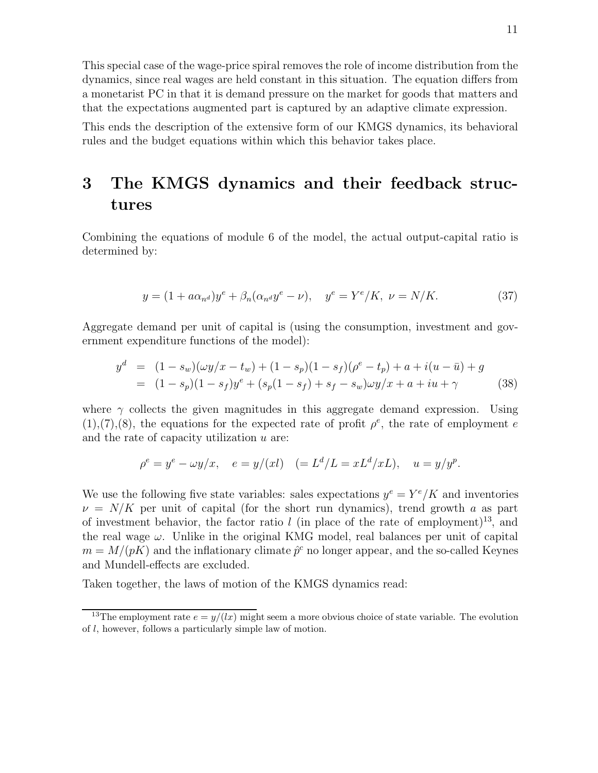This special case of the wage-price spiral removes the role of income distribution from the dynamics, since real wages are held constant in this situation. The equation differs from a monetarist PC in that it is demand pressure on the market for goods that matters and that the expectations augmented part is captured by an adaptive climate expression.

This ends the description of the extensive form of our KMGS dynamics, its behavioral rules and the budget equations within which this behavior takes place.

## **3 The KMGS dynamics and their feedback structures**

Combining the equations of module 6 of the model, the actual output-capital ratio is determined by:

$$
y = (1 + a\alpha_{n^d})y^e + \beta_n(\alpha_{n^d}y^e - \nu), \quad y^e = Y^e/K, \quad \nu = N/K.
$$
 (37)

Aggregate demand per unit of capital is (using the consumption, investment and government expenditure functions of the model):

$$
y^{d} = (1 - s_w)(\omega y/x - t_w) + (1 - s_p)(1 - s_f)(\rho^{e} - t_p) + a + i(u - \bar{u}) + g
$$
  
=  $(1 - s_p)(1 - s_f)y^{e} + (s_p(1 - s_f) + s_f - s_w)\omega y/x + a + iu + \gamma$  (38)

where  $\gamma$  collects the given magnitudes in this aggregate demand expression. Using  $(1), (7), (8)$ , the equations for the expected rate of profit  $\rho^e$ , the rate of employment *e* and the rate of capacity utilization *u* are:

$$
\rho^e = y^e - \omega y/x
$$
,  $e = y/(xl)$  (=  $L^d/L = xL^d/xL$ ),  $u = y/y^p$ .

We use the following five state variables: sales expectations  $y^e = Y^e/K$  and inventories  $\nu = N/K$  per unit of capital (for the short run dynamics), trend growth *a* as part of investment behavior, the factor ratio  $l$  (in place of the rate of employment)<sup>13</sup>, and the real wage  $\omega$ . Unlike in the original KMG model, real balances per unit of capital  $m = M/(pK)$  and the inflationary climate  $\hat{p}^c$  no longer appear, and the so-called Keynes and Mundell-effects are excluded.

Taken together, the laws of motion of the KMGS dynamics read:

<sup>&</sup>lt;sup>13</sup>The employment rate  $e = y/(lx)$  might seem a more obvious choice of state variable. The evolution of *l*, however, follows a particularly simple law of motion.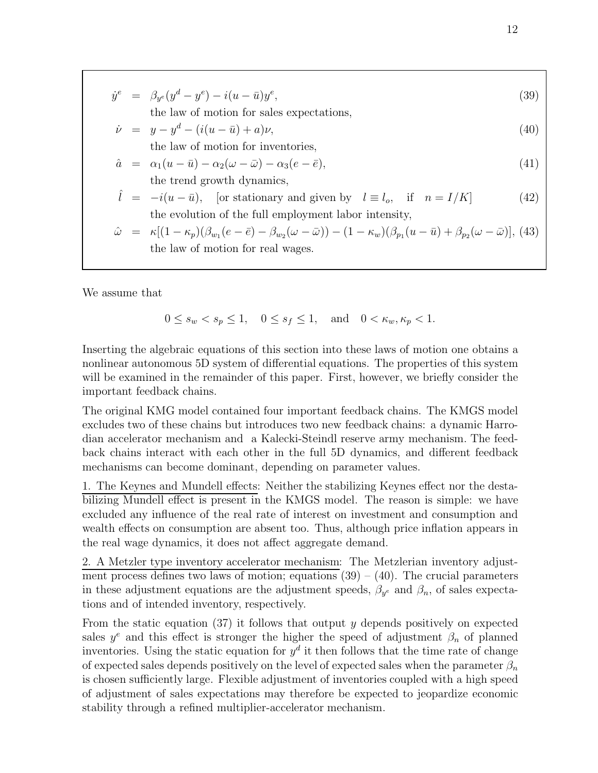$$
\dot{y}^{e} = \beta_{y^{e}}(y^{d} - y^{e}) - i(u - \bar{u})y^{e},
$$
\n(39)

\nthe law of motion for sales expectations,

\n
$$
\dot{\nu} = y - y^{d} - (i(u - \bar{u}) + a)\nu,
$$
\n(40)

\nthe law of motion for inventories,

\n
$$
\hat{a} = \alpha_{1}(u - \bar{u}) - \alpha_{2}(\omega - \bar{\omega}) - \alpha_{3}(e - \bar{e}),
$$
\n(41)

\nthe trend growth dynamics,

\n
$$
\hat{l} = -i(u - \bar{u}), \quad \text{[or stationary and given by} \quad l \equiv l_{o}, \quad \text{if} \quad n = I/K]
$$
\n(42)

\nthe evolution of the full employment labor intensity,

\n
$$
\hat{\omega} = \kappa[(1 - \kappa_{p})(\beta_{w_{1}}(e - \bar{e}) - \beta_{w_{2}}(\omega - \bar{\omega})) - (1 - \kappa_{w})(\beta_{p_{1}}(u - \bar{u}) + \beta_{p_{2}}(\omega - \bar{\omega})),
$$
\n(43)

\nthe law of motion for real wages.

We assume that

$$
0 \le s_w < s_p \le 1, \quad 0 \le s_f \le 1, \quad \text{and} \quad 0 < \kappa_w, \kappa_p < 1.
$$

Inserting the algebraic equations of this section into these laws of motion one obtains a nonlinear autonomous 5D system of differential equations. The properties of this system will be examined in the remainder of this paper. First, however, we briefly consider the important feedback chains.

The original KMG model contained four important feedback chains. The KMGS model excludes two of these chains but introduces two new feedback chains: a dynamic Harrodian accelerator mechanism and a Kalecki-Steindl reserve army mechanism*.* The feedback chains interact with each other in the full 5D dynamics, and different feedback mechanisms can become dominant, depending on parameter values.

1. The Keynes and Mundell effects: Neither the stabilizing Keynes effect nor the destabilizing Mundell effect is present in the KMGS model. The reason is simple: we have excluded any influence of the real rate of interest on investment and consumption and wealth effects on consumption are absent too. Thus, although price inflation appears in the real wage dynamics, it does not affect aggregate demand.

2. A Metzler type inventory accelerator mechanism: The Metzlerian inventory adjustment process defines two laws of motion; equations  $(39) - (40)$ . The crucial parameters in these adjustment equations are the adjustment speeds,  $\beta_{y^e}$  and  $\beta_n$ , of sales expectations and of intended inventory, respectively.

From the static equation (37) it follows that output *y* depends positively on expected sales  $y^e$  and this effect is stronger the higher the speed of adjustment  $\beta_n$  of planned inventories. Using the static equation for  $y^d$  it then follows that the time rate of change of expected sales depends positively on the level of expected sales when the parameter *<sup>β</sup>*<sup>n</sup> is chosen sufficiently large. Flexible adjustment of inventories coupled with a high speed of adjustment of sales expectations may therefore be expected to jeopardize economic stability through a refined multiplier-accelerator mechanism.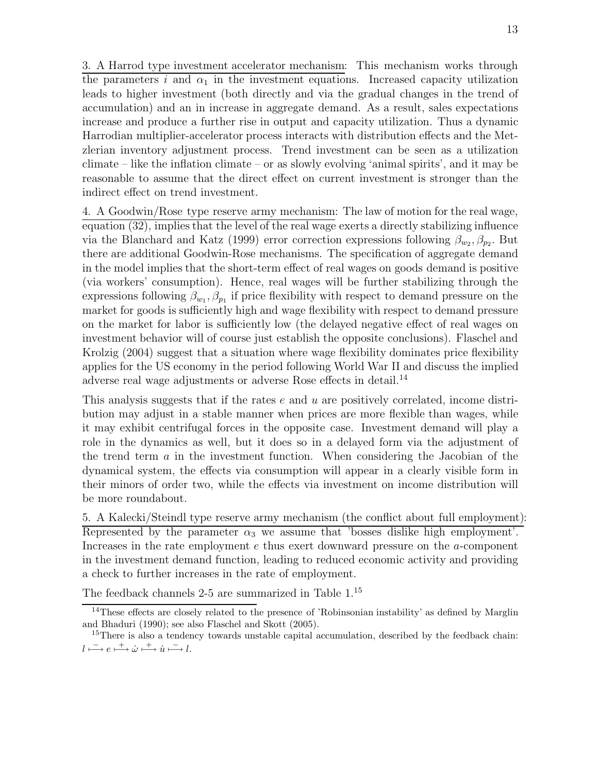3. A Harrod type investment accelerator mechanism: This mechanism works through the parameters  $i$  and  $\alpha_1$  in the investment equations. Increased capacity utilization leads to higher investment (both directly and via the gradual changes in the trend of accumulation) and an in increase in aggregate demand. As a result, sales expectations increase and produce a further rise in output and capacity utilization. Thus a dynamic Harrodian multiplier-accelerator process interacts with distribution effects and the Metzlerian inventory adjustment process. Trend investment can be seen as a utilization climate – like the inflation climate – or as slowly evolving 'animal spirits', and it may be reasonable to assume that the direct effect on current investment is stronger than the indirect effect on trend investment.

4. A Goodwin/Rose type reserve army mechanism: The law of motion for the real wage, equation (32), implies that the level of the real wage exerts a directly stabilizing influence via the Blanchard and Katz (1999) error correction expressions following  $\beta_{w_2}, \beta_{p_2}$ . But there are additional Goodwin-Rose mechanisms. The specification of aggregate demand in the model implies that the short-term effect of real wages on goods demand is positive (via workers' consumption). Hence, real wages will be further stabilizing through the expressions following  $\beta_{w_1}, \beta_{p_1}$  if price flexibility with respect to demand pressure on the market for goods is sufficiently high and wage flexibility with respect to demand pressure on the market for labor is sufficiently low (the delayed negative effect of real wages on investment behavior will of course just establish the opposite conclusions). Flaschel and Krolzig (2004) suggest that a situation where wage flexibility dominates price flexibility applies for the US economy in the period following World War II and discuss the implied adverse real wage adjustments or adverse Rose effects in detail.<sup>14</sup>

This analysis suggests that if the rates *e* and *u* are positively correlated, income distribution may adjust in a stable manner when prices are more flexible than wages, while it may exhibit centrifugal forces in the opposite case. Investment demand will play a role in the dynamics as well, but it does so in a delayed form via the adjustment of the trend term *a* in the investment function. When considering the Jacobian of the dynamical system, the effects via consumption will appear in a clearly visible form in their minors of order two, while the effects via investment on income distribution will be more roundabout.

5. A Kalecki/Steindl type reserve army mechanism (the conflict about full employment): Represented by the parameter  $\alpha_3$  we assume that 'bosses dislike high employment'. Increases in the rate employment *e* thus exert downward pressure on the *a*-component in the investment demand function, leading to reduced economic activity and providing a check to further increases in the rate of employment.

The feedback channels 2-5 are summarized in Table 1.<sup>15</sup>

<sup>&</sup>lt;sup>14</sup>These effects are closely related to the presence of 'Robinsonian instability' as defined by Marglin and Bhaduri (1990); see also Flaschel and Skott (2005).

<sup>&</sup>lt;sup>15</sup>There is also a tendency towards unstable capital accumulation, described by the feedback chain:  $l \mapsto e \mapsto \dot{\omega} \mapsto \dot{u} \mapsto l.$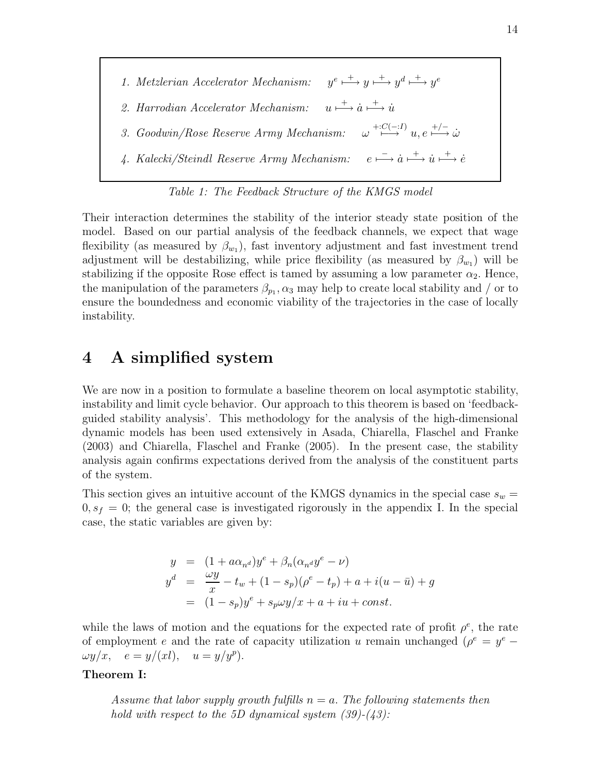

*Table 1: The Feedback Structure of the KMGS model*

Their interaction determines the stability of the interior steady state position of the model. Based on our partial analysis of the feedback channels, we expect that wage flexibility (as measured by  $\beta_{w_1}$ ), fast inventory adjustment and fast investment trend adjustment will be destabilizing, while price flexibility (as measured by  $\beta_{w_1}$ ) will be stabilizing if the opposite Rose effect is tamed by assuming a low parameter  $\alpha_2$ . Hence, the manipulation of the parameters  $\beta_{p_1}, \alpha_3$  may help to create local stability and / or to ensure the boundedness and economic viability of the trajectories in the case of locally instability.

## **4 A simplified system**

We are now in a position to formulate a baseline theorem on local asymptotic stability, instability and limit cycle behavior. Our approach to this theorem is based on 'feedbackguided stability analysis'. This methodology for the analysis of the high-dimensional dynamic models has been used extensively in Asada, Chiarella, Flaschel and Franke (2003) and Chiarella, Flaschel and Franke (2005). In the present case, the stability analysis again confirms expectations derived from the analysis of the constituent parts of the system.

This section gives an intuitive account of the KMGS dynamics in the special case  $s_w$  =  $0, s<sub>f</sub> = 0$ ; the general case is investigated rigorously in the appendix I. In the special case, the static variables are given by:

$$
y = (1 + a\alpha_n a)y^e + \beta_n(\alpha_n a y^e - \nu)
$$
  
\n
$$
y^d = \frac{\omega y}{x} - t_w + (1 - s_p)(\rho^e - t_p) + a + i(u - \bar{u}) + g
$$
  
\n
$$
= (1 - s_p)y^e + s_p \omega y/x + a + iu + const.
$$

while the laws of motion and the equations for the expected rate of profit  $\rho^e$ , the rate of employment *e* and the rate of capacity utilization *u* remain unchanged ( $\rho^e = y^e$  −  $\omega y/x$ ,  $e = y/(xl)$ ,  $u = y/y^p$ .

#### **Theorem I:**

*Assume that labor supply growth fulfills n* <sup>=</sup> *a. The following statements then hold with respect to the 5D dynamical system (39)-(43):*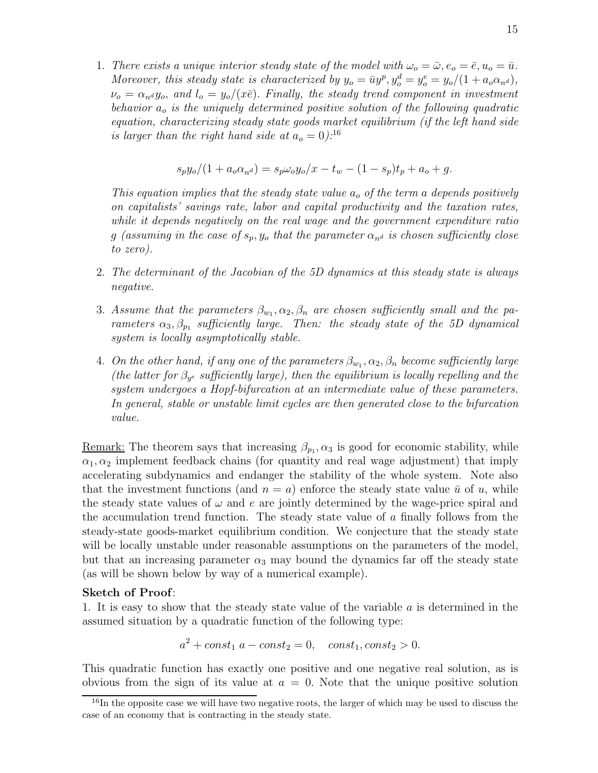1. *There exists a unique interior steady state of the model with*  $\omega_o = \bar{\omega}, e_o = \bar{e}, u_o = \bar{u}$ . *Moreover, this steady state is characterized by*  $y_o = \bar{u}y^p$ ,  $y_o^d = y_o^e = y_o/(1 + a_o\alpha_{n^d})$ ,<br> $y_o = \alpha_{n^d}y_o$  and  $l = y_o/(x_e)$ . Finally, the steady trend component in investment  $\nu_o = \alpha_{n^d} y_o$ , and  $l_o = y_o/(x\bar{e})$ . *Finally, the steady trend component in investment behavior <sup>a</sup>*<sup>o</sup> *is the uniquely determined positive solution of the following quadratic equation, characterizing steady state goods market equilibrium (if the left hand side is larger than the right hand side at*  $a_0 = 0$ .<sup>16</sup>

$$
s_p y_o / (1 + a_o \alpha_{n^d}) = s_p \omega_o y_o / x - t_w - (1 - s_p) t_p + a_o + g.
$$

*This equation implies that the steady state value*  $a<sub>o</sub>$  *of the term a depends positively on capitalists' savings rate, labor and capital productivity and the taxation rates, while it depends negatively on the real wage and the government expenditure ratio g* (assuming in the case of  $s_p, y_o$  that the parameter  $\alpha_{n^d}$  is chosen sufficiently close *to zero).*

- 2. *The determinant of the Jacobian of the 5D dynamics at this steady state is always negative.*
- 3. *Assume that the parameters*  $\beta_{w_1}, \alpha_2, \beta_n$  *are chosen sufficiently small and the parameters*  $\alpha_3$ ,  $\beta_{p_1}$  *sufficiently large. Then: the steady state of the 5D dynamical system is locally asymptotically stable.*
- 4. *On the other hand, if any one of the parameters*  $\beta_{w_1}, \alpha_2, \beta_n$  *become sufficiently large (the latter for β*<sup>y</sup>*<sup>e</sup> sufficiently large), then the equilibrium is locally repelling and the system undergoes a Hopf-bifurcation at an intermediate value of these parameters. In general, stable or unstable limit cycles are then generated close to the bifurcation value.*

<u>Remark:</u> The theorem says that increasing  $\beta_{p_1}, \alpha_3$  is good for economic stability, while  $\alpha_1, \alpha_2$  implement feedback chains (for quantity and real wage adjustment) that imply accelerating subdynamics and endanger the stability of the whole system. Note also that the investment functions (and  $n = a$ ) enforce the steady state value  $\bar{u}$  of *u*, while the steady state values of  $\omega$  and  $e$  are jointly determined by the wage-price spiral and the accumulation trend function. The steady state value of *a* finally follows from the steady-state goods-market equilibrium condition. We conjecture that the steady state will be locally unstable under reasonable assumptions on the parameters of the model, but that an increasing parameter  $\alpha_3$  may bound the dynamics far off the steady state (as will be shown below by way of a numerical example).

#### **Sketch of Proof**:

1. It is easy to show that the steady state value of the variable *a* is determined in the assumed situation by a quadratic function of the following type:

$$
a^2 + const_1 a - const_2 = 0
$$
, const<sub>1</sub>, const<sub>2</sub> > 0.

This quadratic function has exactly one positive and one negative real solution, as is obvious from the sign of its value at  $a = 0$ . Note that the unique positive solution

 $16$ In the opposite case we will have two negative roots, the larger of which may be used to discuss the case of an economy that is contracting in the steady state.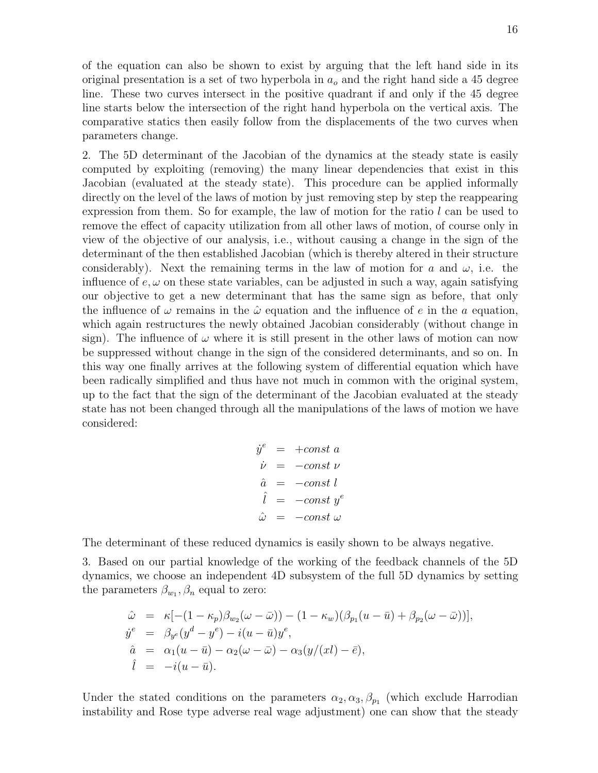of the equation can also be shown to exist by arguing that the left hand side in its original presentation is a set of two hyperbola in *<sup>a</sup>*<sup>o</sup> and the right hand side a 45 degree line. These two curves intersect in the positive quadrant if and only if the 45 degree line starts below the intersection of the right hand hyperbola on the vertical axis. The comparative statics then easily follow from the displacements of the two curves when parameters change.

2. The 5D determinant of the Jacobian of the dynamics at the steady state is easily computed by exploiting (removing) the many linear dependencies that exist in this Jacobian (evaluated at the steady state). This procedure can be applied informally directly on the level of the laws of motion by just removing step by step the reappearing expression from them. So for example, the law of motion for the ratio *l* can be used to remove the effect of capacity utilization from all other laws of motion, of course only in view of the objective of our analysis, i.e., without causing a change in the sign of the determinant of the then established Jacobian (which is thereby altered in their structure considerably). Next the remaining terms in the law of motion for *a* and  $\omega$ , i.e. the influence of  $e, \omega$  on these state variables, can be adjusted in such a way, again satisfying our objective to get a new determinant that has the same sign as before, that only the influence of  $\omega$  remains in the  $\hat{\omega}$  equation and the influence of *e* in the *a* equation, which again restructures the newly obtained Jacobian considerably (without change in sign). The influence of  $\omega$  where it is still present in the other laws of motion can now be suppressed without change in the sign of the considered determinants, and so on. In this way one finally arrives at the following system of differential equation which have been radically simplified and thus have not much in common with the original system, up to the fact that the sign of the determinant of the Jacobian evaluated at the steady state has not been changed through all the manipulations of the laws of motion we have considered:

$$
\dot{y}^{e} = +const \ a
$$

$$
\dot{\nu} = -const \ \nu
$$

$$
\hat{a} = -const \ l
$$

$$
\hat{l} = -const \ y^{e}
$$

$$
\hat{\omega} = -const \ \omega
$$

The determinant of these reduced dynamics is easily shown to be always negative.

3. Based on our partial knowledge of the working of the feedback channels of the 5D dynamics, we choose an independent 4D subsystem of the full 5D dynamics by setting the parameters  $\beta_{w_1}, \beta_n$  equal to zero:

$$
\hat{\omega} = \kappa [-(1 - \kappa_p)\beta_{w_2}(\omega - \bar{\omega})) - (1 - \kappa_w)(\beta_{p_1}(u - \bar{u}) + \beta_{p_2}(\omega - \bar{\omega}))],
$$
  
\n
$$
\dot{y}^e = \beta_{y^e}(y^d - y^e) - i(u - \bar{u})y^e,
$$
  
\n
$$
\hat{a} = \alpha_1(u - \bar{u}) - \alpha_2(\omega - \bar{\omega}) - \alpha_3(y/(xl) - \bar{e}),
$$
  
\n
$$
\hat{l} = -i(u - \bar{u}).
$$

Under the stated conditions on the parameters  $\alpha_2, \alpha_3, \beta_{p_1}$  (which exclude Harrodian instability and Rose type adverse real wage adjustment) one can show that the steady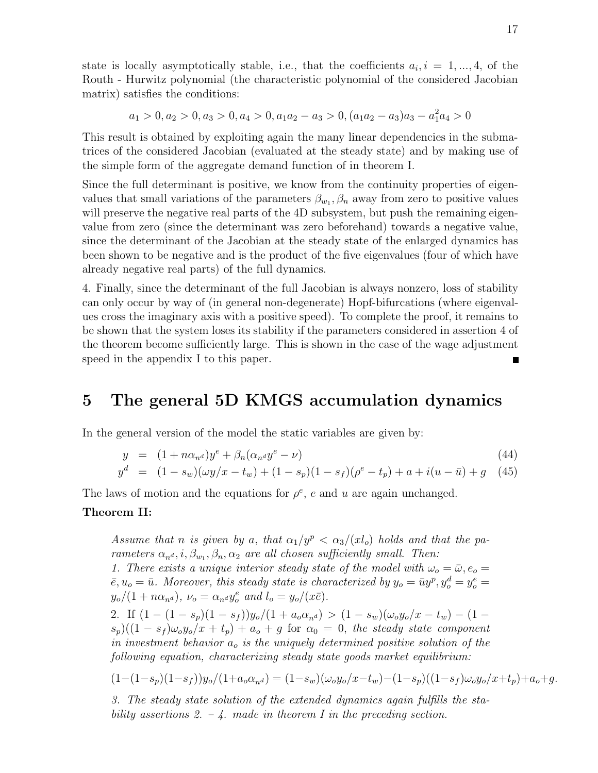state is locally asymptotically stable, i.e., that the coefficients  $a_i, i = 1, \ldots, 4$ , of the Routh - Hurwitz polynomial (the characteristic polynomial of the considered Jacobian matrix) satisfies the conditions:

$$
a_1 > 0, a_2 > 0, a_3 > 0, a_4 > 0, a_1 a_2 - a_3 > 0, (a_1 a_2 - a_3) a_3 - a_1^2 a_4 > 0
$$

This result is obtained by exploiting again the many linear dependencies in the submatrices of the considered Jacobian (evaluated at the steady state) and by making use of the simple form of the aggregate demand function of in theorem I.

Since the full determinant is positive, we know from the continuity properties of eigenvalues that small variations of the parameters  $\beta_{w_1}, \beta_n$  away from zero to positive values will preserve the negative real parts of the 4D subsystem, but push the remaining eigenvalue from zero (since the determinant was zero beforehand) towards a negative value, since the determinant of the Jacobian at the steady state of the enlarged dynamics has been shown to be negative and is the product of the five eigenvalues (four of which have already negative real parts) of the full dynamics.

4. Finally, since the determinant of the full Jacobian is always nonzero, loss of stability can only occur by way of (in general non-degenerate) Hopf-bifurcations (where eigenvalues cross the imaginary axis with a positive speed). To complete the proof, it remains to be shown that the system loses its stability if the parameters considered in assertion 4 of the theorem become sufficiently large. This is shown in the case of the wage adjustment speed in the appendix I to this paper.

### **5 The general 5D KMGS accumulation dynamics**

In the general version of the model the static variables are given by:

$$
y = (1 + n\alpha_{n^d})y^e + \beta_n(\alpha_{n^d}y^e - \nu) \tag{44}
$$

$$
y^{d} = (1 - s_w)(\omega y/x - t_w) + (1 - s_p)(1 - s_f)(\rho^{e} - t_p) + a + i(u - \bar{u}) + g \quad (45)
$$

The laws of motion and the equations for  $\rho^e$ , *e* and *u* are again unchanged.

#### **Theorem II:**

*Assume that n is given by a, that*  $\alpha_1/y^p < \alpha_3/(x l_o)$  *holds and that the parameters*  $\alpha_{n^d}$ , *i*,  $\beta_{w_1}$ ,  $\beta_n$ ,  $\alpha_2$  *are all chosen sufficiently small. Then:* 

*1. There exists a unique interior steady state of the model with*  $\omega_o = \bar{\omega}, e_o =$  $\overline{e}, u_o = \overline{u}$ . Moreover, this steady state is characterized by  $y_o = \overline{u}y^p, y_o^d = y_o^e =$ <br> $y_o^{(1 + p_0)}$ ,  $y_o = \alpha$ ,  $y_e^e$  and  $l = y_e^{(1 + p_0)}$ *y*<sub>o</sub>/(1 + *n* $\alpha_{n^d}$ )*,*  $\nu_o = \alpha_{n^d} y_o^e$  and  $l_o = y_o/(x \bar{e})$ .

2. If  $(1 - (1 - s_p)(1 - s_f))y_o/(1 + a_o\alpha_n^d) > (1 - s_w)(\omega_o y_o/x - t_w) - (1 - s_w)(1 - s_p)(1 - s_p^d)$  $(s_p)((1-s_f)\omega_o y_o/x + t_p) + a_o + g$  for  $\alpha_0 = 0$ , the steady state component *in investment behavior <sup>a</sup>*<sup>o</sup> *is the uniquely determined positive solution of the following equation, characterizing steady state goods market equilibrium:*

$$
(1-(1-s_p)(1-s_f))y_o/(1+a_o\alpha_{n^d}) = (1-s_w)(\omega_o y_o/x-t_w) - (1-s_p)((1-s_f)\omega_o y_o/x+t_p) + a_o + g.
$$

*3. The steady state solution of the extended dynamics again fulfills the stability assertions 2. – 4. made in theorem I in the preceding section.*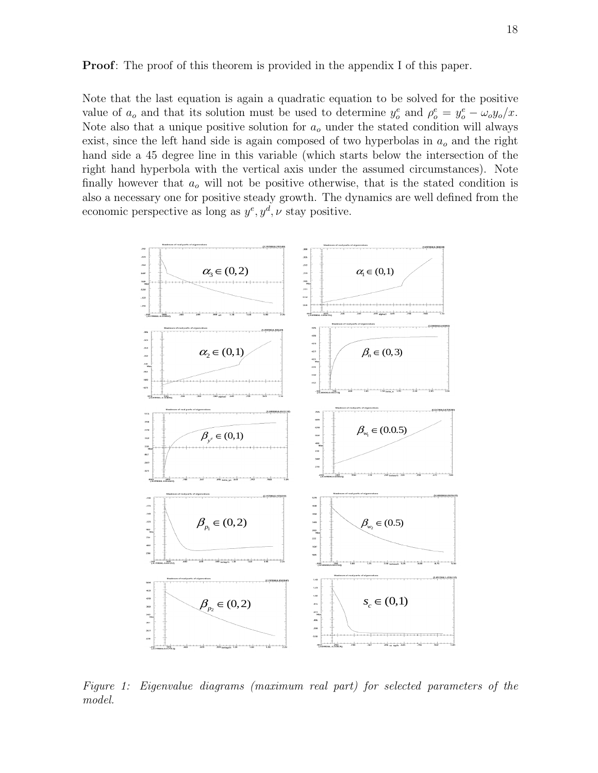#### **Proof**: The proof of this theorem is provided in the appendix I of this paper.

Note that the last equation is again a quadratic equation to be solved for the positive value of  $a_o$  and that its solution must be used to determine  $y_o^e$  and  $\rho_o^e = y_o^e - \omega_o y_o/x$ .<br>Note also that a unique positive solution for a under the stated condition will always Note also that a unique positive solution for *<sup>a</sup>*<sup>o</sup> under the stated condition will always exist, since the left hand side is again composed of two hyperbolas in *<sup>a</sup>*<sup>o</sup> and the right hand side a 45 degree line in this variable (which starts below the intersection of the right hand hyperbola with the vertical axis under the assumed circumstances). Note finally however that  $a<sub>o</sub>$  will not be positive otherwise, that is the stated condition is also a necessary one for positive steady growth. The dynamics are well defined from the economic perspective as long as  $y^e, y^d, \nu$  stay positive.



*Figure 1: Eigenvalue diagrams (maximum real part) for selected parameters of the model.*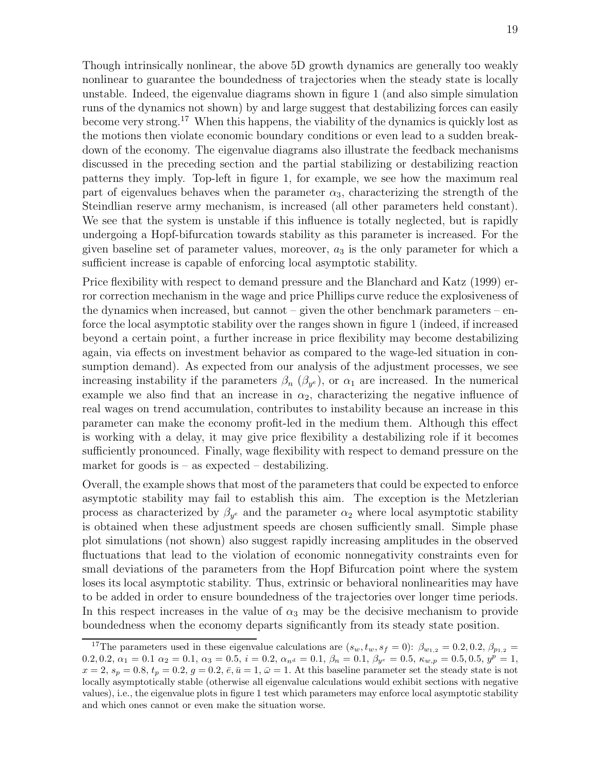Though intrinsically nonlinear, the above 5D growth dynamics are generally too weakly nonlinear to guarantee the boundedness of trajectories when the steady state is locally unstable. Indeed, the eigenvalue diagrams shown in figure 1 (and also simple simulation runs of the dynamics not shown) by and large suggest that destabilizing forces can easily become very strong.<sup>17</sup> When this happens, the viability of the dynamics is quickly lost as the motions then violate economic boundary conditions or even lead to a sudden breakdown of the economy. The eigenvalue diagrams also illustrate the feedback mechanisms discussed in the preceding section and the partial stabilizing or destabilizing reaction patterns they imply. Top-left in figure 1, for example, we see how the maximum real part of eigenvalues behaves when the parameter  $\alpha_3$ , characterizing the strength of the Steindlian reserve army mechanism, is increased (all other parameters held constant). We see that the system is unstable if this influence is totally neglected, but is rapidly undergoing a Hopf-bifurcation towards stability as this parameter is increased. For the given baseline set of parameter values, moreover,  $a_3$  is the only parameter for which a sufficient increase is capable of enforcing local asymptotic stability.

Price flexibility with respect to demand pressure and the Blanchard and Katz (1999) error correction mechanism in the wage and price Phillips curve reduce the explosiveness of the dynamics when increased, but cannot – given the other benchmark parameters – enforce the local asymptotic stability over the ranges shown in figure 1 (indeed, if increased beyond a certain point, a further increase in price flexibility may become destabilizing again, via effects on investment behavior as compared to the wage-led situation in consumption demand). As expected from our analysis of the adjustment processes, we see increasing instability if the parameters  $\beta_n$  ( $\beta_{\nu^e}$ ), or  $\alpha_1$  are increased. In the numerical example we also find that an increase in  $\alpha_2$ , characterizing the negative influence of real wages on trend accumulation, contributes to instability because an increase in this parameter can make the economy profit-led in the medium them. Although this effect is working with a delay, it may give price flexibility a destabilizing role if it becomes sufficiently pronounced. Finally, wage flexibility with respect to demand pressure on the market for goods is  $-$  as expected  $-$  destabilizing.

Overall, the example shows that most of the parameters that could be expected to enforce asymptotic stability may fail to establish this aim. The exception is the Metzlerian process as characterized by  $\beta_{y^e}$  and the parameter  $\alpha_2$  where local asymptotic stability is obtained when these adjustment speeds are chosen sufficiently small. Simple phase plot simulations (not shown) also suggest rapidly increasing amplitudes in the observed fluctuations that lead to the violation of economic nonnegativity constraints even for small deviations of the parameters from the Hopf Bifurcation point where the system loses its local asymptotic stability. Thus, extrinsic or behavioral nonlinearities may have to be added in order to ensure boundedness of the trajectories over longer time periods. In this respect increases in the value of  $\alpha_3$  may be the decisive mechanism to provide boundedness when the economy departs significantly from its steady state position.

<sup>&</sup>lt;sup>17</sup>The parameters used in these eigenvalue calculations are  $(s_w, t_w, s_f = 0)$ :  $\beta_{w_{1,2}} = 0.2, 0.2, \beta_{p_{1,2}} = 0$ 0.2, 0.2,  $\alpha_1 = 0.1 \ \alpha_2 = 0.1$ ,  $\alpha_3 = 0.5$ ,  $i = 0.2$ ,  $\alpha_{n^d} = 0.1$ ,  $\beta_n = 0.1$ ,  $\beta_{y^e} = 0.5$ ,  $\kappa_{w,p} = 0.5$ , 0.5,  $y^p = 1$ ,  $x = 2$ *,*  $s_p = 0.8$ *,*  $t_p = 0.2$ *,*  $g = 0.2$ *,*  $\bar{e}$ *,*  $\bar{u} = 1$ *,*  $\bar{\omega} = 1$ *.* At this baseline parameter set the steady state is not locally asymptotically stable (otherwise all eigenvalue calculations would exhibit sections with negative values), i.e., the eigenvalue plots in figure 1 test which parameters may enforce local asymptotic stability and which ones cannot or even make the situation worse.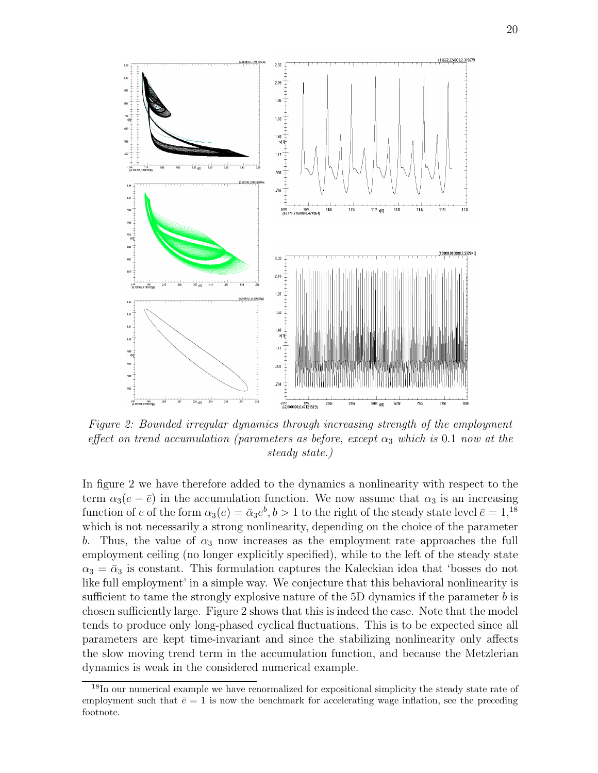

*Figure 2: Bounded irregular dynamics through increasing strength of the employment effect on trend accumulation (parameters as before, except*  $\alpha_3$  *which is* 0.1 *now at the steady state.)*

In figure 2 we have therefore added to the dynamics a nonlinearity with respect to the term  $\alpha_3(e - \bar{e})$  in the accumulation function. We now assume that  $\alpha_3$  is an increasing function of *e* of the form  $\alpha_3(e) = \bar{\alpha}_3 e^b$ ,  $b > 1$  to the right of the steady state level  $\bar{e} = 1$ , <sup>18</sup> which is not necessarily a strong nonlinearity, depending on the choice of the parameter *b*. Thus, the value of  $\alpha_3$  now increases as the employment rate approaches the full employment ceiling (no longer explicitly specified), while to the left of the steady state  $\alpha_3 = \bar{\alpha}_3$  is constant. This formulation captures the Kaleckian idea that 'bosses do not like full employment' in a simple way. We conjecture that this behavioral nonlinearity is sufficient to tame the strongly explosive nature of the 5D dynamics if the parameter *b* is chosen sufficiently large. Figure 2 shows that this is indeed the case. Note that the model tends to produce only long-phased cyclical fluctuations. This is to be expected since all parameters are kept time-invariant and since the stabilizing nonlinearity only affects the slow moving trend term in the accumulation function, and because the Metzlerian dynamics is weak in the considered numerical example.

<sup>&</sup>lt;sup>18</sup>In our numerical example we have renormalized for expositional simplicity the steady state rate of employment such that  $\bar{e} = 1$  is now the benchmark for accelerating wage inflation, see the preceding footnote.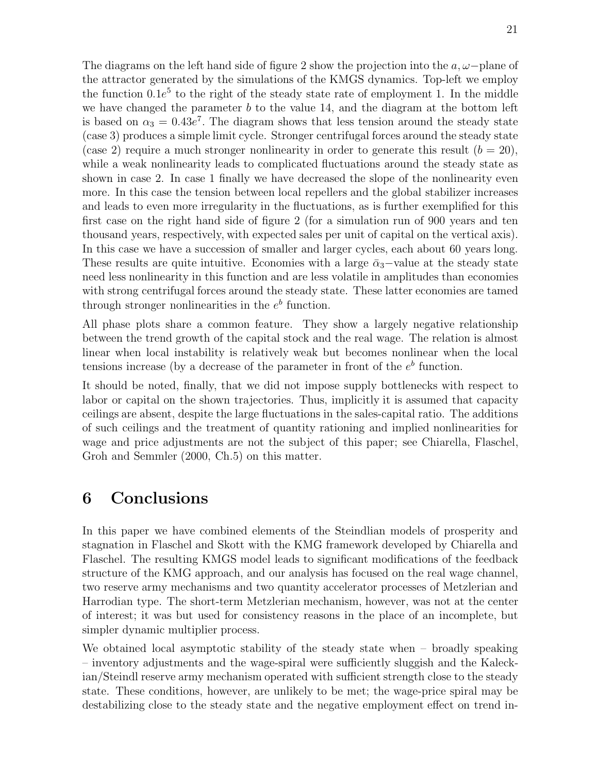The diagrams on the left hand side of figure 2 show the projection into the *a, ω*−plane of the attractor generated by the simulations of the KMGS dynamics. Top-left we employ the function  $0.1e^5$  to the right of the steady state rate of employment 1. In the middle we have changed the parameter *b* to the value 14*,* and the diagram at the bottom left is based on  $\alpha_3 = 0.43e^7$ . The diagram shows that less tension around the steady state (case 3) produces a simple limit cycle. Stronger centrifugal forces around the steady state (case 2) require a much stronger nonlinearity in order to generate this result  $(b = 20)$ , while a weak nonlinearity leads to complicated fluctuations around the steady state as shown in case 2. In case 1 finally we have decreased the slope of the nonlinearity even more. In this case the tension between local repellers and the global stabilizer increases and leads to even more irregularity in the fluctuations, as is further exemplified for this first case on the right hand side of figure 2 (for a simulation run of 900 years and ten thousand years, respectively, with expected sales per unit of capital on the vertical axis). In this case we have a succession of smaller and larger cycles, each about 60 years long. These results are quite intuitive. Economies with a large  $\bar{\alpha}_3$ -value at the steady state need less nonlinearity in this function and are less volatile in amplitudes than economies with strong centrifugal forces around the steady state. These latter economies are tamed through stronger nonlinearities in the  $e^b$  function.

All phase plots share a common feature. They show a largely negative relationship between the trend growth of the capital stock and the real wage. The relation is almost linear when local instability is relatively weak but becomes nonlinear when the local tensions increase (by a decrease of the parameter in front of the  $e<sup>b</sup>$  function.

It should be noted, finally, that we did not impose supply bottlenecks with respect to labor or capital on the shown trajectories. Thus, implicitly it is assumed that capacity ceilings are absent, despite the large fluctuations in the sales-capital ratio. The additions of such ceilings and the treatment of quantity rationing and implied nonlinearities for wage and price adjustments are not the subject of this paper; see Chiarella, Flaschel, Groh and Semmler (2000, Ch.5) on this matter.

## **6 Conclusions**

In this paper we have combined elements of the Steindlian models of prosperity and stagnation in Flaschel and Skott with the KMG framework developed by Chiarella and Flaschel. The resulting KMGS model leads to significant modifications of the feedback structure of the KMG approach, and our analysis has focused on the real wage channel, two reserve army mechanisms and two quantity accelerator processes of Metzlerian and Harrodian type. The short-term Metzlerian mechanism, however, was not at the center of interest; it was but used for consistency reasons in the place of an incomplete, but simpler dynamic multiplier process.

We obtained local asymptotic stability of the steady state when – broadly speaking – inventory adjustments and the wage-spiral were sufficiently sluggish and the Kaleckian/Steindl reserve army mechanism operated with sufficient strength close to the steady state. These conditions, however, are unlikely to be met; the wage-price spiral may be destabilizing close to the steady state and the negative employment effect on trend in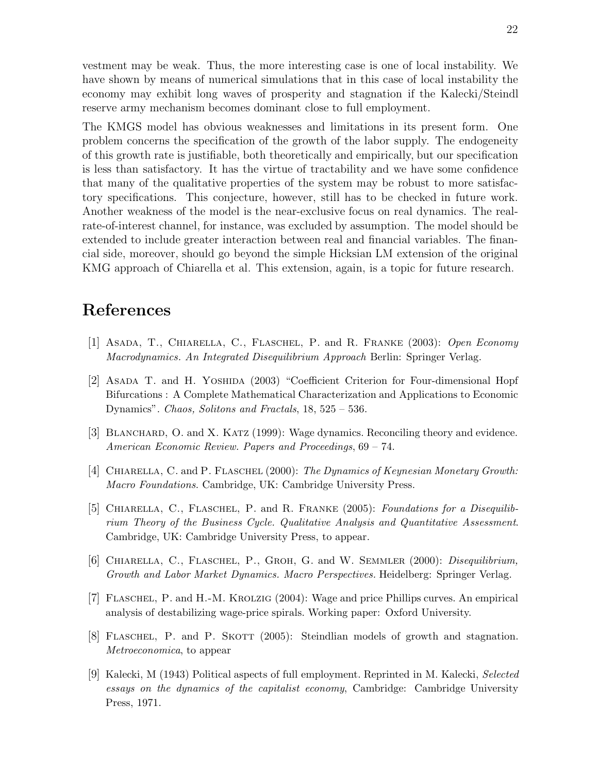vestment may be weak. Thus, the more interesting case is one of local instability. We have shown by means of numerical simulations that in this case of local instability the economy may exhibit long waves of prosperity and stagnation if the Kalecki/Steindl reserve army mechanism becomes dominant close to full employment.

The KMGS model has obvious weaknesses and limitations in its present form. One problem concerns the specification of the growth of the labor supply. The endogeneity of this growth rate is justifiable, both theoretically and empirically, but our specification is less than satisfactory. It has the virtue of tractability and we have some confidence that many of the qualitative properties of the system may be robust to more satisfactory specifications. This conjecture, however, still has to be checked in future work. Another weakness of the model is the near-exclusive focus on real dynamics. The realrate-of-interest channel, for instance, was excluded by assumption. The model should be extended to include greater interaction between real and financial variables. The financial side, moreover, should go beyond the simple Hicksian LM extension of the original KMG approach of Chiarella et al. This extension, again, is a topic for future research.

## **References**

- [1] Asada, T., Chiarella, C., Flaschel, P. and R. Franke (2003): *Open Economy Macrodynamics. An Integrated Disequilibrium Approach* Berlin: Springer Verlag.
- [2] Asada T. and H. Yoshida (2003) "Coefficient Criterion for Four-dimensional Hopf Bifurcations : A Complete Mathematical Characterization and Applications to Economic Dynamics". *Chaos, Solitons and Fractals*, 18, 525 – 536.
- [3] Blanchard, O. and X. Katz (1999): Wage dynamics. Reconciling theory and evidence. *American Economic Review. Papers and Proceedings*, 69 – 74.
- [4] Chiarella, C. and P. Flaschel (2000): *The Dynamics of Keynesian Monetary Growth: Macro Foundations*. Cambridge, UK: Cambridge University Press.
- [5] Chiarella, C., Flaschel, P. and R. Franke (2005): *Foundations for a Disequilibrium Theory of the Business Cycle. Qualitative Analysis and Quantitative Assessment*. Cambridge, UK: Cambridge University Press, to appear.
- [6] Chiarella, C., Flaschel, P., Groh, G. and W. Semmler (2000): *Disequilibrium, Growth and Labor Market Dynamics. Macro Perspectives.* Heidelberg: Springer Verlag.
- [7] Flaschel, P. and H.-M. Krolzig (2004): Wage and price Phillips curves. An empirical analysis of destabilizing wage-price spirals. Working paper: Oxford University.
- [8] FLASCHEL, P. and P. SKOTT (2005): Steindlian models of growth and stagnation. *Metroeconomica*, to appear
- [9] Kalecki, M (1943) Political aspects of full employment. Reprinted in M. Kalecki, *Selected essays on the dynamics of the capitalist economy*, Cambridge: Cambridge University Press, 1971.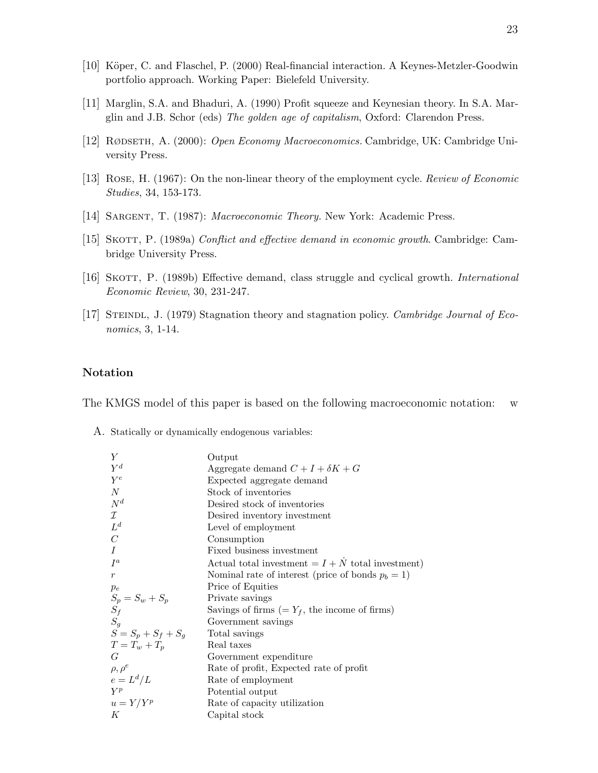- [10] Köper, C. and Flaschel, P. (2000) Real-financial interaction. A Keynes-Metzler-Goodwin portfolio approach. Working Paper: Bielefeld University.
- [11] Marglin, S.A. and Bhaduri, A. (1990) Profit squeeze and Keynesian theory. In S.A. Marglin and J.B. Schor (eds) *The golden age of capitalism*, Oxford: Clarendon Press.
- [12] Rødseth, A. (2000): *Open Economy Macroeconomics.* Cambridge, UK: Cambridge University Press.
- [13] Rose, H. (1967): On the non-linear theory of the employment cycle. *Review of Economic Studies*, 34, 153-173.
- [14] Sargent, T. (1987): *Macroeconomic Theory.* New York: Academic Press.
- [15] Skott, P. (1989a) *Conflict and effective demand in economic growth*. Cambridge: Cambridge University Press.
- [16] Skott, P. (1989b) Effective demand, class struggle and cyclical growth. *International Economic Review*, 30, 231-247.
- [17] Steindl, J. (1979) Stagnation theory and stagnation policy. *Cambridge Journal of Economics*, 3, 1-14.

#### **Notation**

The KMGS model of this paper is based on the following macroeconomic notation: w

| Y                     | Output                                               |
|-----------------------|------------------------------------------------------|
| $Y^d$                 | Aggregate demand $C + I + \delta K + G$              |
| $Y^e$                 | Expected aggregate demand                            |
| N                     | Stock of inventories                                 |
| $N^d$                 | Desired stock of inventories                         |
| $\mathcal{I}$         | Desired inventory investment                         |
| $L^d$                 | Level of employment                                  |
| $\cal C$              | Consumption                                          |
| $\overline{I}$        | Fixed business investment                            |
| $I^a$                 | Actual total investment $= I + N$ total investment)  |
| $\boldsymbol{r}$      | Nominal rate of interest (price of bonds $p_b = 1$ ) |
| $p_e$                 | Price of Equities                                    |
| $S_p = S_w + S_p$     | Private savings                                      |
| $S_f$                 | Savings of firms $(= Y_f$ , the income of firms)     |
| $S_q$                 | Government savings                                   |
| $S = S_p + S_f + S_g$ | Total savings                                        |
| $T=T_w+T_p$           | Real taxes                                           |
| G                     | Government expenditure                               |
| $\rho, \rho^e$        | Rate of profit, Expected rate of profit              |
| $e = L^d/L$           | Rate of employment                                   |
| $Y^p$                 | Potential output                                     |
| $u = Y/Y^p$           | Rate of capacity utilization                         |
| К                     | Capital stock                                        |
|                       |                                                      |

A. Statically or dynamically endogenous variables: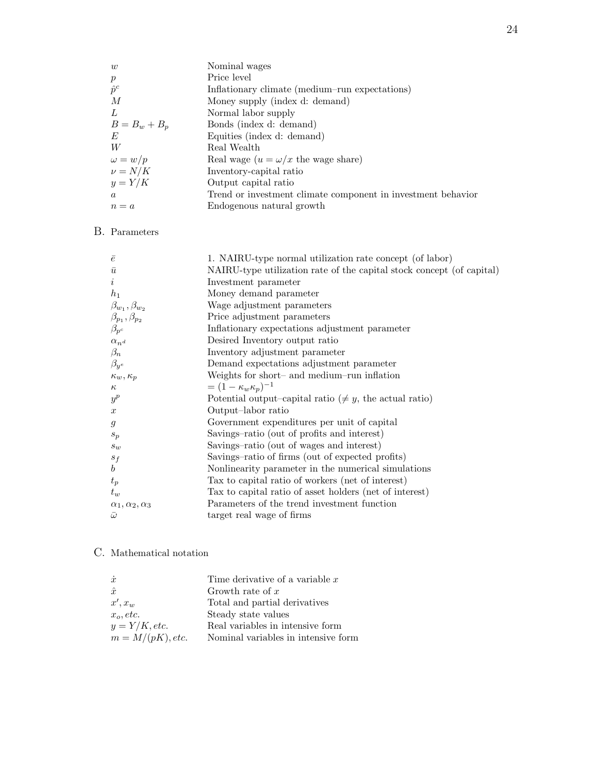| w                | Nominal wages                                                |
|------------------|--------------------------------------------------------------|
| $\boldsymbol{p}$ | Price level                                                  |
| $\hat{p}^c$      | Inflationary climate (medium-run expectations)               |
| $\overline{M}$   | Money supply (index d: demand)                               |
| L                | Normal labor supply                                          |
| $B=B_w+B_p$      | Bonds (index d: demand)                                      |
| E                | Equities (index d: demand)                                   |
| W                | Real Wealth                                                  |
| $\omega = w/p$   | Real wage $(u = \omega/x$ the wage share)                    |
| $\nu = N/K$      | Inventory-capital ratio                                      |
| $y = Y/K$        | Output capital ratio                                         |
| $\alpha$         | Trend or investment climate component in investment behavior |
| $n = a$          | Endogenous natural growth                                    |
|                  |                                                              |

#### B. Parameters

| $\bar{e}$                      | 1. NAIRU-type normal utilization rate concept (of labor)              |
|--------------------------------|-----------------------------------------------------------------------|
| $\bar{u}$                      | NAIRU-type utilization rate of the capital stock concept (of capital) |
| $\dot{i}$                      | Investment parameter                                                  |
| $h_1$                          | Money demand parameter                                                |
| $\beta_{w_1}, \beta_{w_2}$     | Wage adjustment parameters                                            |
| $\beta_{p_1}, \beta_{p_2}$     | Price adjustment parameters                                           |
| $\beta_{p^c}$                  | Inflationary expectations adjustment parameter                        |
| $\alpha_{n^d}$                 | Desired Inventory output ratio                                        |
| $\beta_n$                      | Inventory adjustment parameter                                        |
| $\beta_{y^e}$                  | Demand expectations adjustment parameter                              |
| $\kappa_w, \kappa_p$           | Weights for short- and medium-run inflation                           |
| $\kappa$                       | $=(1 - \kappa_w \kappa_p)^{-1}$                                       |
| $y^p$                          | Potential output–capital ratio ( $\neq y$ , the actual ratio)         |
| $\boldsymbol{x}$               | Output-labor ratio                                                    |
| $\mathfrak{g}$                 | Government expenditures per unit of capital                           |
| $s_p$                          | Savings-ratio (out of profits and interest)                           |
| $s_w$                          | Savings-ratio (out of wages and interest)                             |
| $s_f$                          | Savings-ratio of firms (out of expected profits)                      |
| b                              | Nonlinearity parameter in the numerical simulations                   |
| $t_p$                          | Tax to capital ratio of workers (net of interest)                     |
| $t_w$                          | Tax to capital ratio of asset holders (net of interest)               |
| $\alpha_1, \alpha_2, \alpha_3$ | Parameters of the trend investment function                           |
| $\bar{\omega}$                 | target real wage of firms                                             |
|                                |                                                                       |

#### C. Mathematical notation

| $\dot{x}$          | Time derivative of a variable $x$   |
|--------------------|-------------------------------------|
| Îτ                 | Growth rate of $x$                  |
| $x', x_w$          | Total and partial derivatives       |
| $x_o, etc.$        | Steady state values                 |
| $y = Y/K, etc.$    | Real variables in intensive form    |
| $m = M/(pK), etc.$ | Nominal variables in intensive form |
|                    |                                     |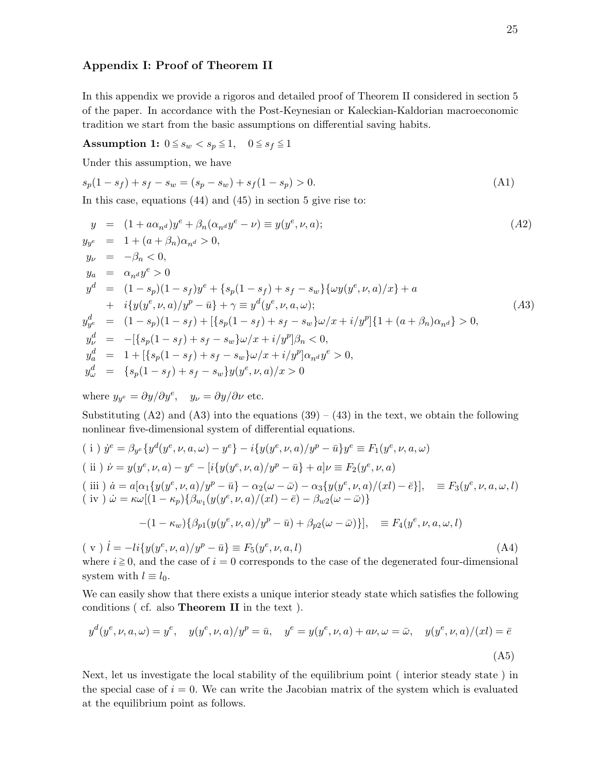#### **Appendix I: Proof of Theorem II**

In this appendix we provide a rigoros and detailed proof of Theorem II considered in section 5 of the paper. In accordance with the Post-Keynesian or Kaleckian-Kaldorian macroeconomic tradition we start from the basic assumptions on differential saving habits.

## **Assumption 1:**  $0 \le s_w < s_p \le 1$ ,  $0 \le s_f \le 1$

Under this assumption, we have

$$
s_p(1 - s_f) + s_f - s_w = (s_p - s_w) + s_f(1 - s_p) > 0. \tag{A1}
$$

In this case, equations (44) and (45) in section 5 give rise to:

$$
y = (1 + a\alpha_n y)e^e + \beta_n(\alpha_n y e^e - \nu) \equiv y(ye^e, \nu, a); \qquad (A2)
$$
  
\n
$$
y_{ye} = 1 + (a + \beta_n)\alpha_n a > 0, \qquad y_{\nu} = -\beta_n < 0, \qquad y_a = \alpha_n y e > 0
$$
  
\n
$$
y_a = (1 - s_p)(1 - s_f)y^e + \{s_p(1 - s_f) + s_f - s_w\} \{\omega y(ye^e, \nu, a)/x\} + a
$$
  
\n
$$
+ i\{y(ye^e, \nu, a)/y^p - \bar{u}\} + \gamma \equiv y^d(ye^e, \nu, a, \omega); \qquad y_{ye}^d = (1 - s_p)(1 - s_f) + [\{s_p(1 - s_f) + s_f - s_w\}\omega/x + i/y^p]\{1 + (a + \beta_n)\alpha_n a\} > 0, \qquad y_{\nu}^d = -[\{s_p(1 - s_f) + s_f - s_w\}\omega/x + i/y^p]\alpha_n a y^e > 0, \qquad y_{\omega}^d = 1 + [\{s_p(1 - s_f) + s_f - s_w\}\omega/x + i/y^p]\alpha_n a y^e > 0, \qquad y_{\omega}^d = \{s_p(1 - s_f) + s_f - s_w\}y(ye^e, \nu, a)/x > 0
$$
\n(21)

where  $y_{y^e} = \partial y / \partial y^e$ ,  $y_{\nu} = \partial y / \partial \nu$  etc.

Substituting  $(A2)$  and  $(A3)$  into the equations  $(39) - (43)$  in the text, we obtain the following nonlinear five-dimensional system of differential equations.

$$
(i) \quad \dot{y}^e = \beta_{y^e} \{ y^d(y^e, \nu, a, \omega) - y^e \} - i \{ y(y^e, \nu, a) / y^p - \bar{u} \} y^e \equiv F_1(y^e, \nu, a, \omega)
$$
\n
$$
(ii) \quad \dot{\nu} = y(y^e, \nu, a) - y^e - [i \{ y(y^e, \nu, a) / y^p - \bar{u} \} + a] \nu \equiv F_2(y^e, \nu, a)
$$
\n
$$
(iii) \quad \dot{a} = a[\alpha_1 \{ y(y^e, \nu, a) / y^p - \bar{u} \} - \alpha_2(\omega - \bar{\omega}) - \alpha_3 \{ y(y^e, \nu, a) / (xl) - \bar{e} \}], \quad \equiv F_3(y^e, \nu, a, \omega, l)
$$
\n
$$
(iv) \quad \dot{\omega} = \kappa \omega [(1 - \kappa_p) \{ \beta_{w_1} ( y(y^e, \nu, a) / (xl) - \bar{e} \} - \beta_{w_2}(\omega - \bar{\omega}) \}
$$
\n
$$
(1 - \kappa_p) [\beta_{w_1} ( y(y^e, \nu, a) / (xl) - \bar{e}] + \beta_{w_2}(\omega - \bar{\omega}) ]] = F_3(y^e, \nu, a, \omega, l)
$$

$$
-(1 - \kappa_w)\{\beta_{p1}(y(y^e, \nu, a)/y^p - \bar{u}) + \beta_{p2}(\omega - \bar{\omega})\}], \quad \equiv F_4(y^e, \nu, a, \omega, l)
$$
  
(v)  $\dot{l} = -li\{y(y^e, \nu, a)/y^p - \bar{u}\} \equiv F_5(y^e, \nu, a, l)$  (A4)  
where  $i \ge 0$ , and the case of  $i = 0$  corresponds to the case of the degaporated four dimensional

where  $i \ge 0$ , and the case of  $i = 0$  corresponds to the case of the degenerated four-dimensional cyntens with  $l = l$ . system with  $l \equiv l_0$ .

We can easily show that there exists a unique interior steady state which satisfies the following conditions ( cf. also **Theorem II** in the text ).

$$
y^d(y^e, \nu, a, \omega) = y^e, \quad y(y^e, \nu, a)/y^p = \bar{u}, \quad y^e = y(y^e, \nu, a) + a\nu, \omega = \bar{\omega}, \quad y(y^e, \nu, a)/(xl) = \bar{e}
$$
\n(A5)

Next, let us investigate the local stability of the equilibrium point ( interior steady state ) in the special case of  $i = 0$ . We can write the Jacobian matrix of the system which is evaluated at the equilibrium point as follows.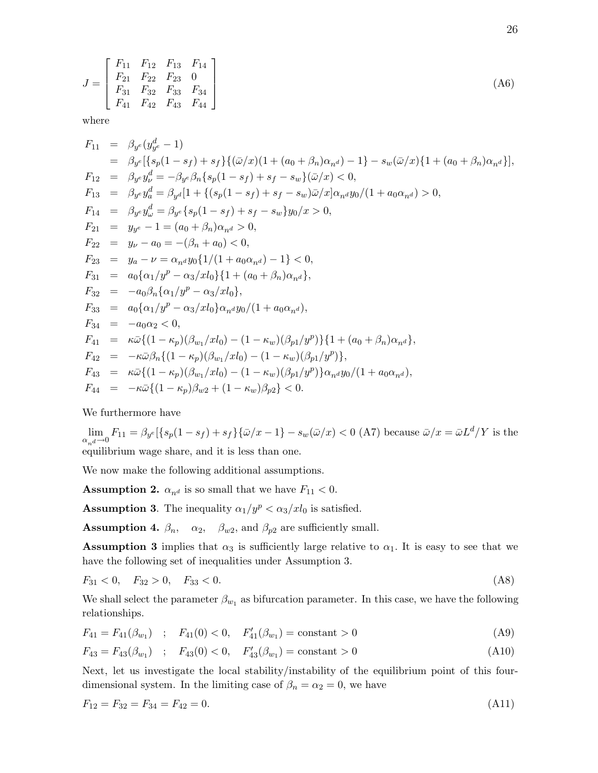$$
J = \begin{bmatrix} F_{11} & F_{12} & F_{13} & F_{14} \\ F_{21} & F_{22} & F_{23} & 0 \\ F_{31} & F_{32} & F_{33} & F_{34} \\ F_{41} & F_{42} & F_{43} & F_{44} \end{bmatrix}
$$
(A6)

where

$$
F_{11} = \beta_{y^{e}}(y_{y^{e}}^{d} - 1)
$$
  
\n
$$
= \beta_{y^{e}}[\{s_{p}(1 - s_{f}) + s_{f}\}\{(\bar{\omega}/x)(1 + (a_{0} + \beta_{n})\alpha_{n}d) - 1\} - s_{w}(\bar{\omega}/x)\{1 + (a_{0} + \beta_{n})\alpha_{n}d\}],
$$
  
\n
$$
F_{12} = \beta_{y^{e}}y_{\omega}^{d} = -\beta_{y^{e}}\beta_{n}\{s_{p}(1 - s_{f}) + s_{f} - s_{w}\}(\bar{\omega}/x) < 0,
$$
  
\n
$$
F_{13} = \beta_{y^{e}}y_{\omega}^{d} = \beta_{y^{d}}[1 + \{(s_{p}(1 - s_{f}) + s_{f} - s_{w})\bar{\omega}/x]\alpha_{n}d y_{0}/(1 + a_{0}\alpha_{n}d) > 0,
$$
  
\n
$$
F_{14} = \beta_{y^{e}}y_{\omega}^{d} = \beta_{y^{e}}\{s_{p}(1 - s_{f}) + s_{f} - s_{w}\}y_{0}/x > 0,
$$
  
\n
$$
F_{21} = y_{y^{e}} - 1 = (a_{0} + \beta_{n})\alpha_{n}d > 0,
$$
  
\n
$$
F_{22} = y_{\nu} - a_{0} = -(\beta_{n} + a_{0}) < 0,
$$
  
\n
$$
F_{23} = y_{a} - \nu = \alpha_{n}d y_{0}\{1/(1 + a_{0}\alpha_{n}d) - 1\} < 0,
$$
  
\n
$$
F_{31} = a_{0}\{\alpha_{1}/y^{p} - \alpha_{3}/x l_{0}\}\{1 + (a_{0} + \beta_{n})\alpha_{n}d\},
$$
  
\n
$$
F_{32} = -a_{0}\beta_{n}\{\alpha_{1}/y^{p} - \alpha_{3}/x l_{0}\},
$$
  
\n
$$
F_{33} = a_{0}\{\alpha_{1}/y^{p} - \alpha_{3}/x l_{0}\}\alpha_{n}d y_{0}/(1 + a_{0}\alpha_{n}d),
$$
  
\n
$$
F_{34} = -a_{0}\alpha_{2} < 0,
$$
  
\n
$$
F_{41} = \kappa
$$

We furthermore have

lim  $\lim_{\alpha_{n}d \to 0} F_{11} = \beta_{y}e[\{s_{p}(1 - s_{f}) + s_{f}\}\{\bar{\omega}/x - 1\} - s_{w}(\bar{\omega}/x) < 0$  (A7) because  $\bar{\omega}/x = \bar{\omega}L^{d}/Y$  is the equilibrium wage share, and it is less than one.

We now make the following additional assumptions.

**Assumption 2.**  $\alpha_{n^d}$  is so small that we have  $F_{11} < 0$ .

**Assumption 3**. The inequality  $\alpha_1/y^p < \alpha_3/xl_0$  is satisfied.

**Assumption 4.**  $\beta_n$ ,  $\alpha_2$ ,  $\beta_{w2}$ , and  $\beta_{p2}$  are sufficiently small.

**Assumption 3** implies that  $\alpha_3$  is sufficiently large relative to  $\alpha_1$ . It is easy to see that we have the following set of inequalities under Assumption 3.

$$
F_{31} < 0, \quad F_{32} > 0, \quad F_{33} < 0. \tag{A8}
$$

We shall select the parameter  $\beta_{w_1}$  as bifurcation parameter. In this case, we have the following relationships relationships.

$$
F_{41} = F_{41}(\beta_{w_1}) \quad ; \quad F_{41}(0) < 0, \quad F'_{41}(\beta_{w_1}) = \text{constant} > 0 \tag{A9}
$$

$$
F_{43} = F_{43}(\beta_{w_1}) \quad ; \quad F_{43}(0) < 0, \quad F'_{43}(\beta_{w_1}) = \text{constant} > 0 \tag{A10}
$$

Next, let us investigate the local stability/instability of the equilibrium point of this fourdimensional system. In the limiting case of  $\beta_n = \alpha_2 = 0$ , we have

$$
F_{12} = F_{32} = F_{34} = F_{42} = 0. \tag{A11}
$$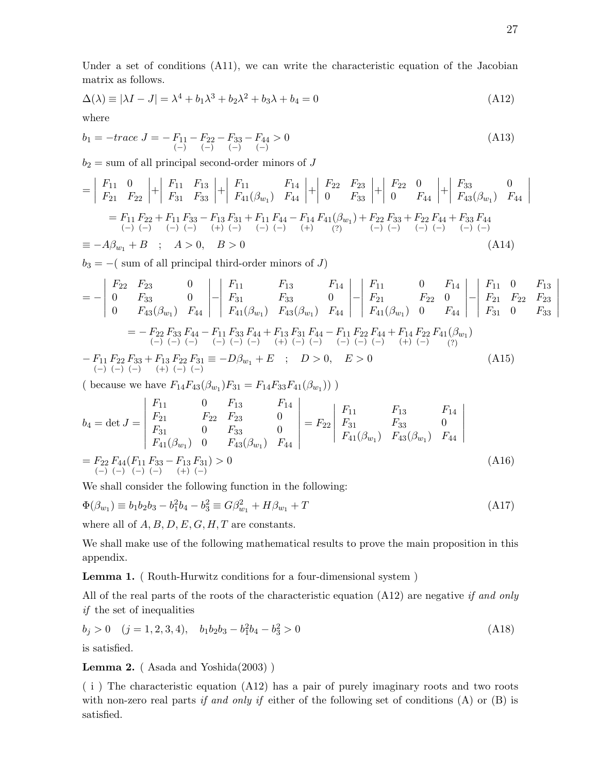Under a set of conditions (A11), we can write the characteristic equation of the Jacobian matrix as follows.

$$
\Delta(\lambda) \equiv |\lambda I - J| = \lambda^4 + b_1 \lambda^3 + b_2 \lambda^2 + b_3 \lambda + b_4 = 0
$$
\n(A12)

where

$$
b_1 = -trace J = -F_{11} - F_{22} - F_{33} - F_{44} > 0
$$
\n
$$
(-) \quad (-) \quad (-) \quad (-) \quad (-)
$$
\n
$$
(A13)
$$

 $b_2$  = sum of all principal second-order minors of *J* 

$$
= \begin{vmatrix} F_{11} & 0 \\ F_{21} & F_{22} \end{vmatrix} + \begin{vmatrix} F_{11} & F_{13} \\ F_{31} & F_{33} \end{vmatrix} + \begin{vmatrix} F_{11} & F_{14} \\ F_{41}(\beta_{w_1}) & F_{44} \end{vmatrix} + \begin{vmatrix} F_{22} & F_{23} \\ 0 & F_{33} \end{vmatrix} + \begin{vmatrix} F_{22} & 0 \\ 0 & F_{44} \end{vmatrix} + \begin{vmatrix} F_{33} & 0 \\ F_{43}(\beta_{w_1}) & F_{44} \end{vmatrix}
$$
  
\n
$$
= F_{11} F_{22} + F_{11} F_{33} - F_{13} F_{31} + F_{11} F_{44} - F_{14} F_{41}(\beta_{w_1}) + F_{22} F_{33} + F_{22} F_{44} + F_{33} F_{44}
$$
  
\n
$$
= -A\beta_{w_1} + B \; ; \; A > 0, \; B > 0
$$
  
\n
$$
= -A\beta_{w_1} + B \; ; \; A > 0, \; B > 0
$$
  
\n
$$
(A14)
$$

 $b_3 = -$ ( sum of all principal third-order minors of *J*)

$$
= -\begin{vmatrix} F_{22} & F_{23} & 0 \ 0 & F_{33} & 0 \ 0 & F_{43}(\beta_{w_1}) & F_{44} \end{vmatrix} - \begin{vmatrix} F_{11} & F_{13} & F_{14} \ F_{31} & F_{33} & 0 \ F_{41}(\beta_{w_1}) & F_{43}(\beta_{w_1}) & F_{44} \end{vmatrix} - \begin{vmatrix} F_{11} & 0 & F_{14} \ F_{21} & F_{22} & 0 \ F_{41}(\beta_{w_1}) & 0 & F_{44} \end{vmatrix} - \begin{vmatrix} F_{11} & 0 & F_{13} \ F_{21} & F_{22} & F_{23} \ F_{41}(\beta_{w_1}) & 0 & F_{33} \end{vmatrix}
$$
  
\n
$$
= -F_{22}F_{33}F_{44} - F_{11}F_{33}F_{44} + F_{13}F_{31}F_{44} - F_{11}F_{22}F_{44} + F_{14}F_{22}F_{41}(\beta_{w_1})
$$
  
\n
$$
-F_{11}F_{22}F_{33} + F_{13}F_{22}F_{31} \equiv -D\beta_{w_1} + E \; ; \quad D > 0, \quad E > 0
$$
 (A15)

$$
- F_{11} F_{22} F_{33} + F_{13} F_{22} F_{31} \equiv -D\beta_{w_1} + E \quad ; \quad D > 0, \quad E > 0
$$
\n
$$
(-) (-) (-) (-) (-) (-) (-) (-)
$$
\n
$$
(A15)
$$

( because we have  $F_{14}F_{43}(\beta_{w_1})F_{31} = F_{14}F_{33}F_{41}(\beta_{w_1}))$  )

$$
b_4 = \det J = \begin{vmatrix} F_{11} & 0 & F_{13} & F_{14} \\ F_{21} & F_{22} & F_{23} & 0 \\ F_{31} & 0 & F_{33} & 0 \\ F_{41}(\beta_{w_1}) & 0 & F_{43}(\beta_{w_1}) & F_{44} \end{vmatrix} = F_{22} \begin{vmatrix} F_{11} & F_{13} & F_{14} \\ F_{31} & F_{33} & 0 \\ F_{41}(\beta_{w_1}) & F_{43}(\beta_{w_1}) & F_{44} \end{vmatrix}
$$
  
=  $F_{22} F_{44}(F_{11} F_{33} - F_{13} F_{31}) > 0$  (A16)

We shall consider the following function in the following:

$$
\Phi(\beta_{w_1}) \equiv b_1 b_2 b_3 - b_1^2 b_4 - b_3^2 \equiv G\beta_{w_1}^2 + H\beta_{w_1} + T \tag{A17}
$$

where all of *A, B, D, E, G, H, T* are constants.

We shall make use of the following mathematical results to prove the main proposition in this appendix.

**Lemma 1.** ( Routh-Hurwitz conditions for a four-dimensional system )

All of the real parts of the roots of the characteristic equation (A12) are negative *if and only if* the set of inequalities

$$
b_j > 0 \quad (j = 1, 2, 3, 4), \quad b_1 b_2 b_3 - b_1^2 b_4 - b_3^2 > 0
$$
\n(A18)

\nis satisfied.

**Lemma 2.** ( Asada and Yoshida(2003) )

( i ) The characteristic equation (A12) has a pair of purely imaginary roots and two roots with non-zero real parts *if and only if* either of the following set of conditions (A) or (B) is satisfied.

 $\overline{\phantom{a}}$  $\overline{\phantom{a}}$ I I  $\overline{\phantom{a}}$  $\overline{\phantom{a}}$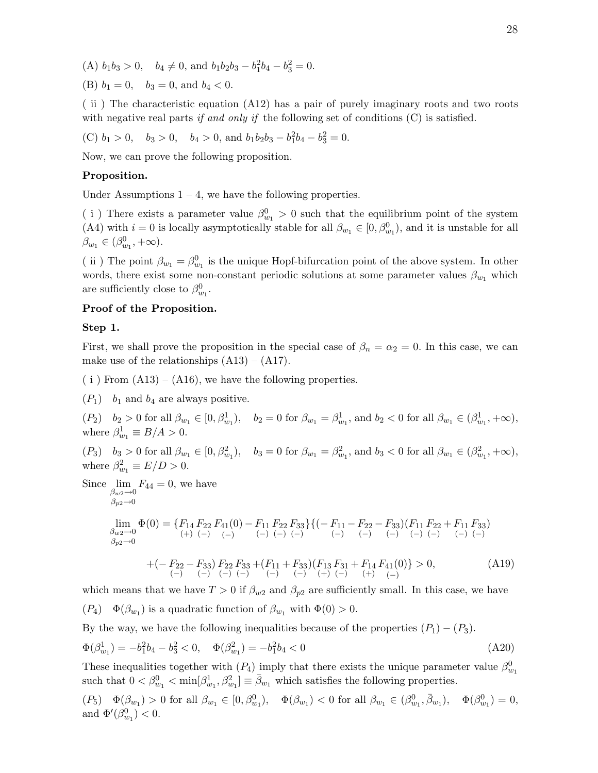- (A)  $b_1b_3 > 0$ ,  $b_4 \neq 0$ , and  $b_1b_2b_3 b_1^2b_4 b_3^2 = 0$ .
- (B)  $b_1 = 0$ ,  $b_3 = 0$ , and  $b_4 < 0$ .

( ii ) The characteristic equation (A12) has a pair of purely imaginary roots and two roots with negative real parts *if and only if* the following set of conditions (C) is satisfied.

(C) 
$$
b_1 > 0
$$
,  $b_3 > 0$ ,  $b_4 > 0$ , and  $b_1b_2b_3 - b_1^2b_4 - b_3^2 = 0$ .

Now, we can prove the following proposition.

#### **Proposition.**

Under Assumptions  $1 - 4$ , we have the following properties.

(i) There exists a parameter value  $\beta_{w_1}^0 > 0$  such that the equilibrium point of the system  $(A)$  with  $i = 0$  is locally expectationly stable for all  $\beta \in [0, \beta_0]$  and it is unstable for all (A4) with  $i = 0$  is locally asymptotically stable for all  $\beta_{w_1} \in [0, \beta_{w_1}^0)$ , and it is unstable for all  $\beta_{w_1} \in (\beta_0^0, \beta_{w_1}^0)$  $\beta_{w_1} \in (\beta_{w_1}^0, +\infty).$ 

(ii) The point  $\beta_{w_1} = \beta_{w_1}^0$  is the unique Hopf-bifurcation point of the above system. In other words, there wish a proportion point of the above system. In other words, there exist some non-constant periodic solutions at some parameter values  $\beta_{w_1}$  which are sufficiently close to  $\beta_{w_1}^0$ .

#### **Proof of the Proposition.**

#### **Step 1.**

First, we shall prove the proposition in the special case of  $\beta_n = \alpha_2 = 0$ . In this case, we can make use of the relationships  $(A13) - (A17)$ .

 $(i)$  From  $(A13) - (A16)$ , we have the following properties.

 $(P_1)$  *b*<sub>1</sub> and *b*<sub>4</sub> are always positive.

 $(p_2)$  *b*<sub>2</sub> > 0 for all  $\beta_{w_1} \in [0, \beta_{w_1}^1)$ , *b*<sub>2</sub> = 0 for  $\beta_{w_1} = \beta_{w_1}^1$ , and *b*<sub>2</sub> < 0 for all  $\beta_{w_1} \in (\beta_{w_1}^1, +\infty)$ , where  $\beta_{w_1}^1 \equiv B/A > 0$ .

 $(p_3)$  *b*<sub>3</sub> > 0 for all  $\beta_{w_1} \in [0, \beta_{w_1}^2)$ , *b*<sub>3</sub> = 0 for  $\beta_{w_1} = \beta_{w_1}^2$ , and *b*<sub>3</sub> < 0 for all  $\beta_{w_1} \in (\beta_{w_1}^2, +\infty)$ , where  $\beta_{w_1}^2 \equiv E/D > 0$ .

Since lim  $\lim_{\beta_{w2}\to 0} F_{44} = 0$ , we have

$$
\beta_{p2}{\to}0
$$

$$
\lim_{\beta_{w2} \to 0} \Phi(0) = \{ F_{14} F_{22} F_{41}(0) - F_{11} F_{22} F_{33} \} \{ (-F_{11} - F_{22} - F_{33}) (F_{11} F_{22} + F_{11} F_{33})
$$
\n
$$
\lim_{\beta_{p2} \to 0} \Phi(0) = \{ F_{14} F_{22} F_{41}(0) - F_{11} F_{22} F_{33} \} \{ (-F_{11} - F_{22} - F_{33}) (F_{11} F_{22} + F_{11} F_{33})
$$

$$
+(-F_{22}-F_{33})\,F_{22}\,F_{33}+(F_{11}+F_{33})(F_{13}\,F_{31}+F_{14}\,F_{41}(0))>0, \qquad (A19)
$$
\n
$$
(-) \quad (-) \quad (-) \quad (-) \quad (-) \quad (-) \quad (+) \quad (-) \quad (+) \quad (-)
$$

which means that we have  $T > 0$  if  $\beta_{w2}$  and  $\beta_{p2}$  are sufficiently small. In this case, we have  $(P_4)$   $\Phi(\beta_{w_1})$  is a quadratic function of  $\beta_{w_1}$  with  $\Phi(0) > 0$ .

By the way, we have the following inequalities because of the properties  $(P_1) - (P_3)$ .

$$
\Phi(\beta_{w_1}^1) = -b_1^2 b_4 - b_3^2 < 0, \quad \Phi(\beta_{w_1}^2) = -b_1^2 b_4 < 0 \tag{A20}
$$

These inequalities together with  $(P_4)$  imply that there exists the unique parameter value  $\beta_{w_1}^0$ <br>which are a which assists the following properties such that  $0 < \beta_{w_1}^0 < \min[\beta_{w_1}^1, \beta_{w_1}^2] \equiv \bar{\beta}_{w_1}$  which satisfies the following properties.

 $(P_5) \Phi(\beta_{w_1}) > 0$  for all  $\beta_{w_1} \in [0, \beta_{w_1}^0)$ ,  $\Phi(\beta_{w_1}) < 0$  for all  $\beta_{w_1} \in (\beta_{w_1}^0, \bar{\beta}_{w_1})$ ,  $\Phi(\beta_{w_1}^0) = 0$ , and  $\Phi'(\beta_{w_1}^0) < 0$ .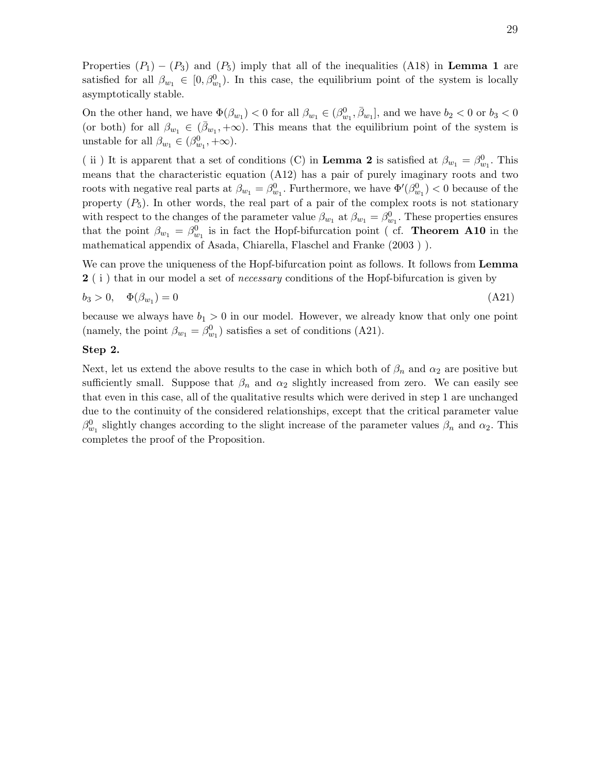Properties  $(P_1) - (P_3)$  and  $(P_5)$  imply that all of the inequalities (A18) in **Lemma 1** are satisfied for all  $\beta_{w_1} \in [0, \beta_{w_1}^0)$ . In this case, the equilibrium point of the system is locally asymptotically stable.

On the other hand, we have  $\Phi(\beta_{w_1}) < 0$  for all  $\beta_{w_1} \in (\beta_{w_1}^0, \bar{\beta}_{w_1}]$ , and we have  $b_2 < 0$  or  $b_3 < 0$ <br>(or both) for all  $\beta_c \in (\bar{\beta}_{w_1} \setminus \infty)$ . This means that the equilibrium point of the gyptom is (or both) for all  $\beta_{w_1} \in (\beta_{w_1}, +\infty)$ . This means that the equilibrium point of the system is unstable for all  $\beta_{w_1} \in (\beta_{w_1}^0, +\infty)$ *.* 

(ii) It is apparent that a set of conditions (C) in **Lemma 2** is satisfied at  $\beta_{w_1} = \beta_{w_1}^0$ . This means that the characteristic equation (A12) has a pair of purely imaginary roots and two roots with negative real parts at  $\beta_{w_1} = \beta_{w_1}^0$ . Furthermore, we have  $\Phi'(\beta_{w_1}^0) < 0$  because of the property  $(B)$ . In other words, the real part of a pair of the complex posts is not stationary property  $(P_5)$ . In other words, the real part of a pair of the complex roots is not stationary with respect to the changes of the parameter value  $\beta_{w_1}$  at  $\beta_{w_1} = \beta_{w_1}^0$ . These properties ensures that the point  $\beta_{w_1} = \beta_{w_1}^0$  is in fact the Hopf-bifurcation point (cf. **Theorem A10** in the mathematical appropriate Changle Changle Electron (2002)) mathematical appendix of Asada, Chiarella, Flaschel and Franke (2003 ) ).

We can prove the uniqueness of the Hopf-bifurcation point as follows. It follows from **Lemma 2** ( i ) that in our model a set of *necessary* conditions of the Hopf-bifurcation is given by

$$
b_3 > 0, \quad \Phi(\beta_{w_1}) = 0 \tag{A21}
$$

because we always have  $b_1 > 0$  in our model. However, we already know that only one point (namely, the point  $\beta_{w_1} = \beta_{w_1}^0$ ) satisfies a set of conditions (A21).

#### **Step 2.**

Next, let us extend the above results to the case in which both of  $\beta_n$  and  $\alpha_2$  are positive but sufficiently small. Suppose that  $\beta_n$  and  $\alpha_2$  slightly increased from zero. We can easily see that even in this case, all of the qualitative results which were derived in step 1 are unchanged due to the continuity of the considered relationships, except that the critical parameter value  $β_{w_1}^0$  slightly changes according to the slight increase of the parameter values  $β_n$  and  $α_2$ . This completes the proof of the Proposition.